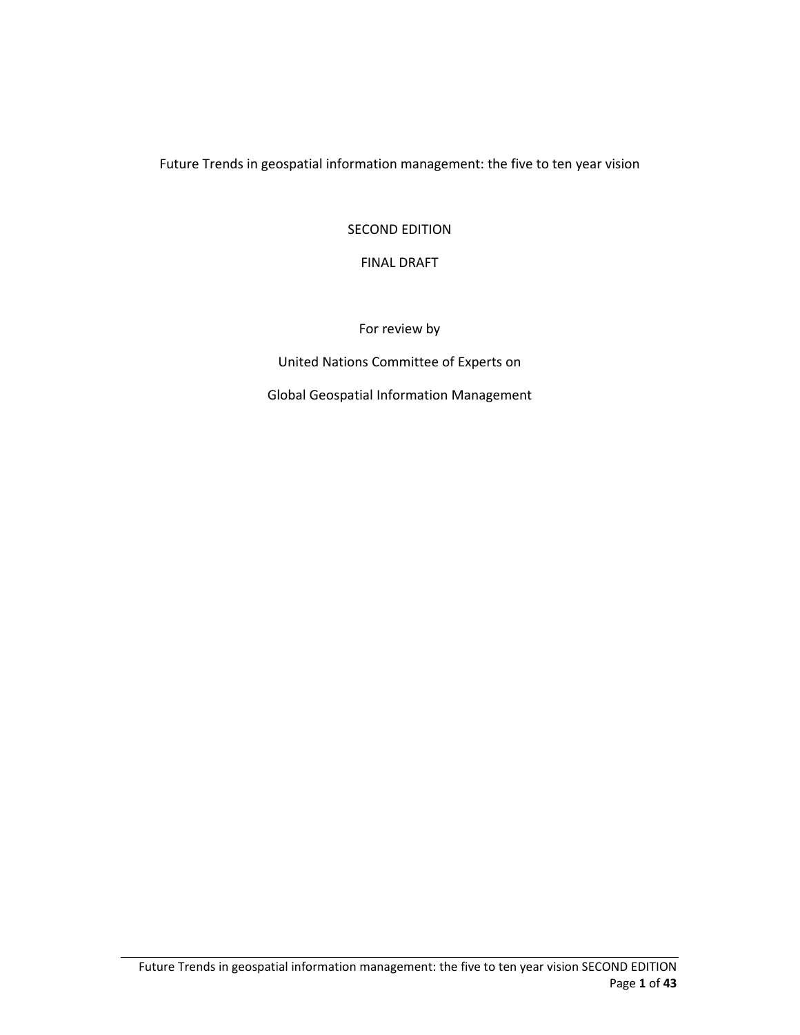Future Trends in geospatial information management: the five to ten year vision

#### SECOND EDITION

#### FINAL DRAFT

For review by

United Nations Committee of Experts on

Global Geospatial Information Management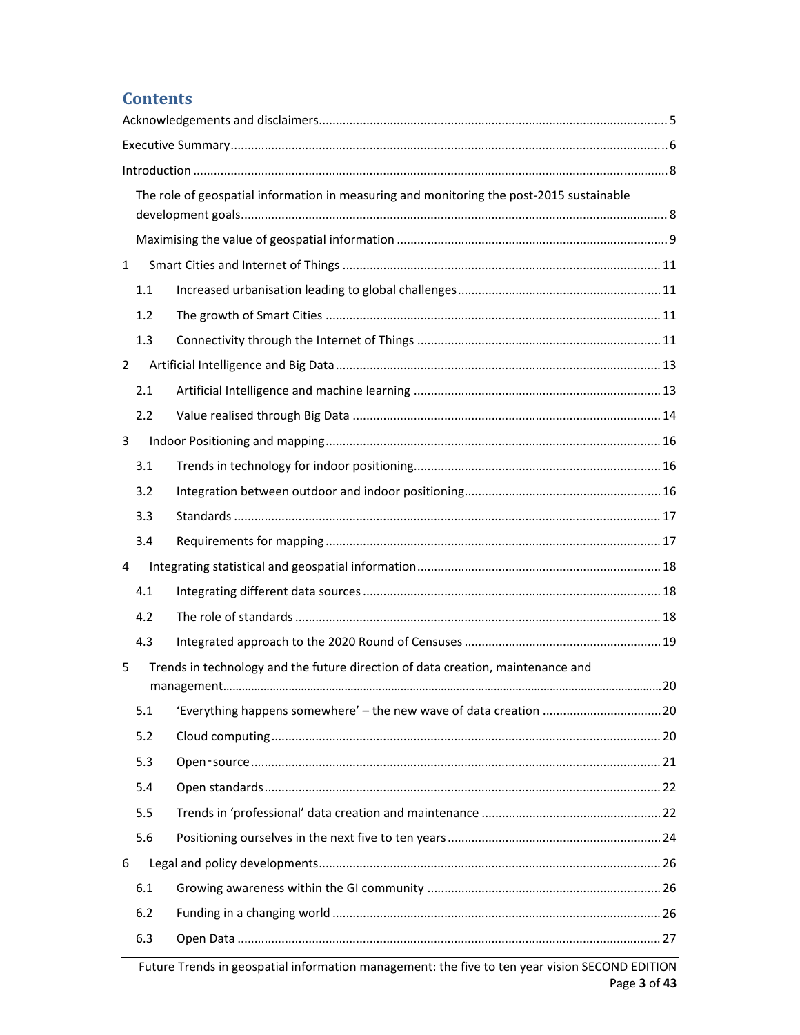## **Contents**

|                | The role of geospatial information in measuring and monitoring the post-2015 sustainable |  |  |  |  |
|----------------|------------------------------------------------------------------------------------------|--|--|--|--|
|                |                                                                                          |  |  |  |  |
|                |                                                                                          |  |  |  |  |
| $\mathbf{1}$   |                                                                                          |  |  |  |  |
| 1.1            |                                                                                          |  |  |  |  |
| 1.2            |                                                                                          |  |  |  |  |
| 1.3            |                                                                                          |  |  |  |  |
| $\overline{2}$ |                                                                                          |  |  |  |  |
| 2.1            |                                                                                          |  |  |  |  |
| 2.2            |                                                                                          |  |  |  |  |
| 3              |                                                                                          |  |  |  |  |
| 3.1            |                                                                                          |  |  |  |  |
| 3.2            |                                                                                          |  |  |  |  |
| 3.3            |                                                                                          |  |  |  |  |
| 3.4            |                                                                                          |  |  |  |  |
| 4              |                                                                                          |  |  |  |  |
| 4.1            |                                                                                          |  |  |  |  |
| 4.2            |                                                                                          |  |  |  |  |
| 4.3            |                                                                                          |  |  |  |  |
| 5              | Trends in technology and the future direction of data creation, maintenance and          |  |  |  |  |
|                |                                                                                          |  |  |  |  |
| 5.1            |                                                                                          |  |  |  |  |
| 5.2            |                                                                                          |  |  |  |  |
| 5.3            |                                                                                          |  |  |  |  |
| 5.4            |                                                                                          |  |  |  |  |
| 5.5            |                                                                                          |  |  |  |  |
| 5.6            |                                                                                          |  |  |  |  |
| 6              |                                                                                          |  |  |  |  |
| 6.1            |                                                                                          |  |  |  |  |
| 6.2            |                                                                                          |  |  |  |  |
| 6.3            |                                                                                          |  |  |  |  |

Future Trends in geospatial information management: the five to ten year vision SECOND EDITION Page **3** of **43**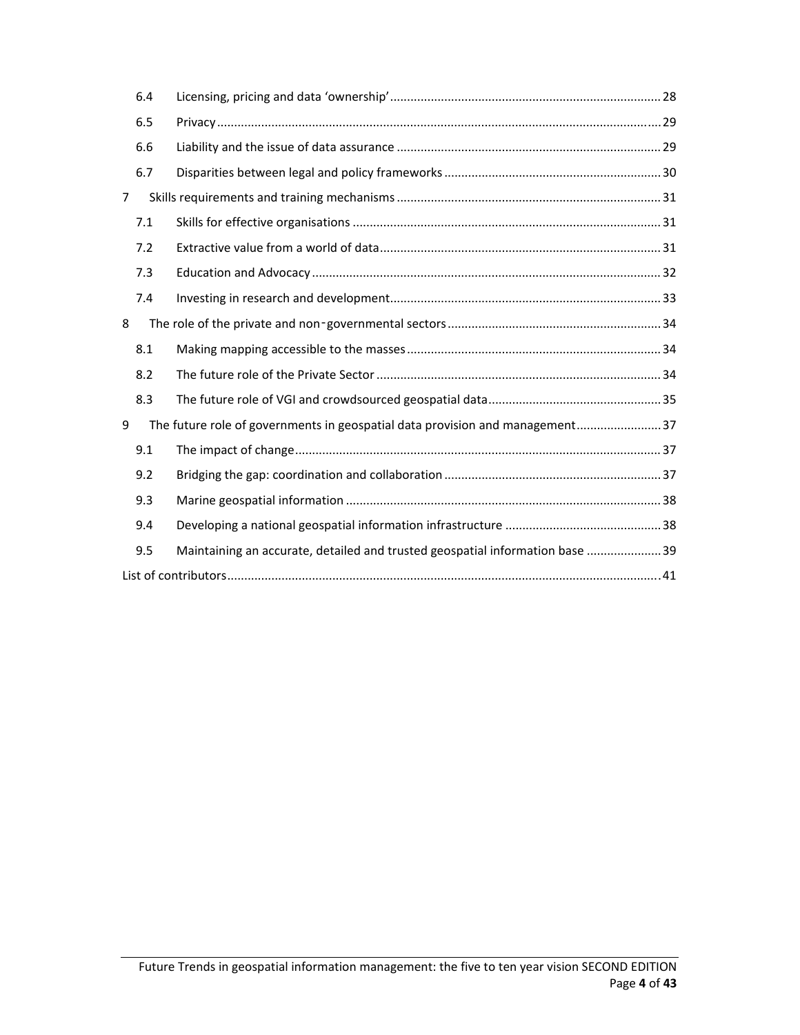|                | 6.4 |                                                                               |  |  |  |
|----------------|-----|-------------------------------------------------------------------------------|--|--|--|
|                | 6.5 |                                                                               |  |  |  |
|                | 6.6 |                                                                               |  |  |  |
|                | 6.7 |                                                                               |  |  |  |
| $\overline{7}$ |     |                                                                               |  |  |  |
|                | 7.1 |                                                                               |  |  |  |
|                | 7.2 |                                                                               |  |  |  |
|                | 7.3 |                                                                               |  |  |  |
|                | 7.4 |                                                                               |  |  |  |
| 8              |     |                                                                               |  |  |  |
|                | 8.1 |                                                                               |  |  |  |
|                | 8.2 |                                                                               |  |  |  |
|                | 8.3 |                                                                               |  |  |  |
| 9              |     | The future role of governments in geospatial data provision and management 37 |  |  |  |
|                | 9.1 |                                                                               |  |  |  |
|                | 9.2 |                                                                               |  |  |  |
|                | 9.3 |                                                                               |  |  |  |
|                | 9.4 |                                                                               |  |  |  |
|                | 9.5 | Maintaining an accurate, detailed and trusted geospatial information base  39 |  |  |  |
|                |     |                                                                               |  |  |  |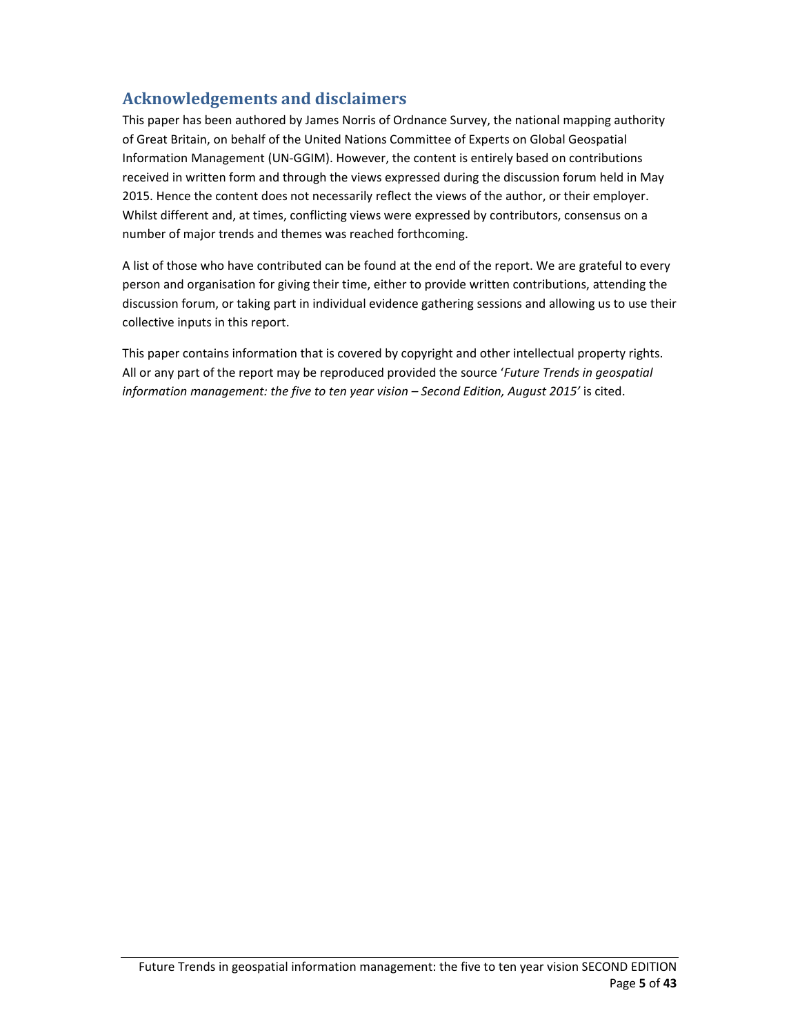## **Acknowledgements and disclaimers**

This paper has been authored by James Norris of Ordnance Survey, the national mapping authority of Great Britain, on behalf of the United Nations Committee of Experts on Global Geospatial Information Management (UN‐GGIM). However, the content is entirely based on contributions received in written form and through the views expressed during the discussion forum held in May 2015. Hence the content does not necessarily reflect the views of the author, or their employer. Whilst different and, at times, conflicting views were expressed by contributors, consensus on a number of major trends and themes was reached forthcoming.

A list of those who have contributed can be found at the end of the report. We are grateful to every person and organisation for giving their time, either to provide written contributions, attending the discussion forum, or taking part in individual evidence gathering sessions and allowing us to use their collective inputs in this report.

This paper contains information that is covered by copyright and other intellectual property rights. All or any part of the report may be reproduced provided the source '*Future Trends in geospatial information management: the five to ten year vision – Second Edition, August 2015'* is cited.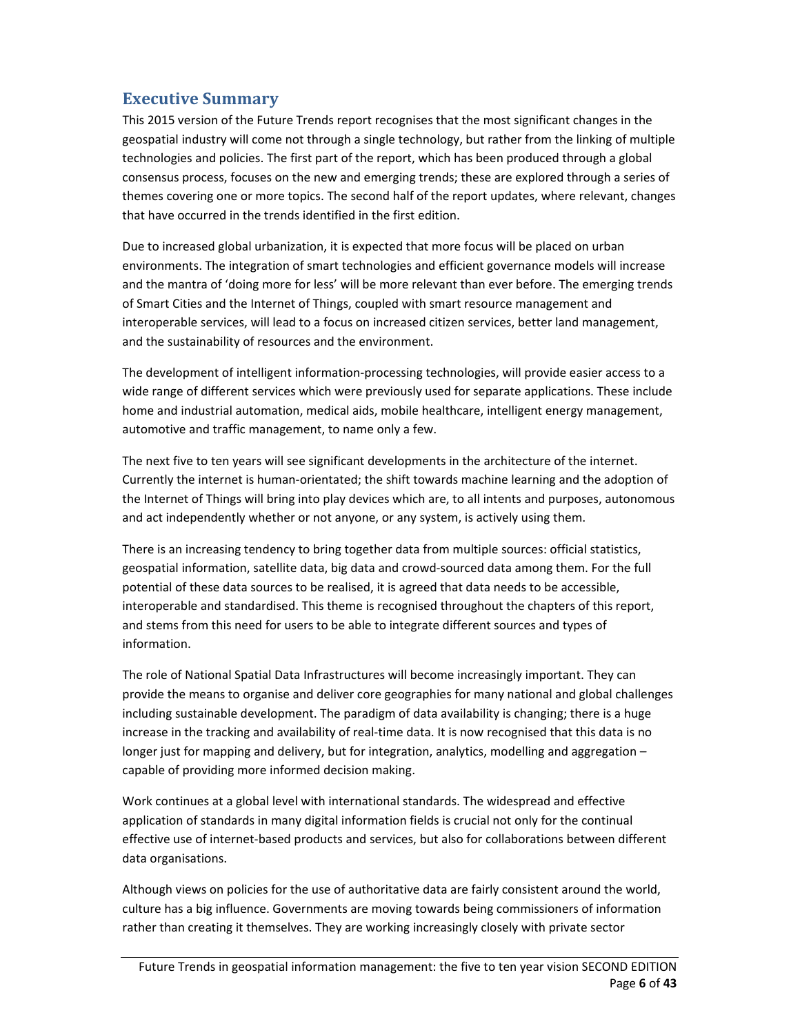### **Executive Summary**

This 2015 version of the Future Trends report recognises that the most significant changes in the geospatial industry will come not through a single technology, but rather from the linking of multiple technologies and policies. The first part of the report, which has been produced through a global consensus process, focuses on the new and emerging trends; these are explored through a series of themes covering one or more topics. The second half of the report updates, where relevant, changes that have occurred in the trends identified in the first edition.

Due to increased global urbanization, it is expected that more focus will be placed on urban environments. The integration of smart technologies and efficient governance models will increase and the mantra of 'doing more for less' will be more relevant than ever before. The emerging trends of Smart Cities and the Internet of Things, coupled with smart resource management and interoperable services, will lead to a focus on increased citizen services, better land management, and the sustainability of resources and the environment.

The development of intelligent information‐processing technologies, will provide easier access to a wide range of different services which were previously used for separate applications. These include home and industrial automation, medical aids, mobile healthcare, intelligent energy management, automotive and traffic management, to name only a few.

The next five to ten years will see significant developments in the architecture of the internet. Currently the internet is human‐orientated; the shift towards machine learning and the adoption of the Internet of Things will bring into play devices which are, to all intents and purposes, autonomous and act independently whether or not anyone, or any system, is actively using them.

There is an increasing tendency to bring together data from multiple sources: official statistics, geospatial information, satellite data, big data and crowd‐sourced data among them. For the full potential of these data sources to be realised, it is agreed that data needs to be accessible, interoperable and standardised. This theme is recognised throughout the chapters of this report, and stems from this need for users to be able to integrate different sources and types of information.

The role of National Spatial Data Infrastructures will become increasingly important. They can provide the means to organise and deliver core geographies for many national and global challenges including sustainable development. The paradigm of data availability is changing; there is a huge increase in the tracking and availability of real-time data. It is now recognised that this data is no longer just for mapping and delivery, but for integration, analytics, modelling and aggregation – capable of providing more informed decision making.

Work continues at a global level with international standards. The widespread and effective application of standards in many digital information fields is crucial not only for the continual effective use of internet-based products and services, but also for collaborations between different data organisations.

Although views on policies for the use of authoritative data are fairly consistent around the world, culture has a big influence. Governments are moving towards being commissioners of information rather than creating it themselves. They are working increasingly closely with private sector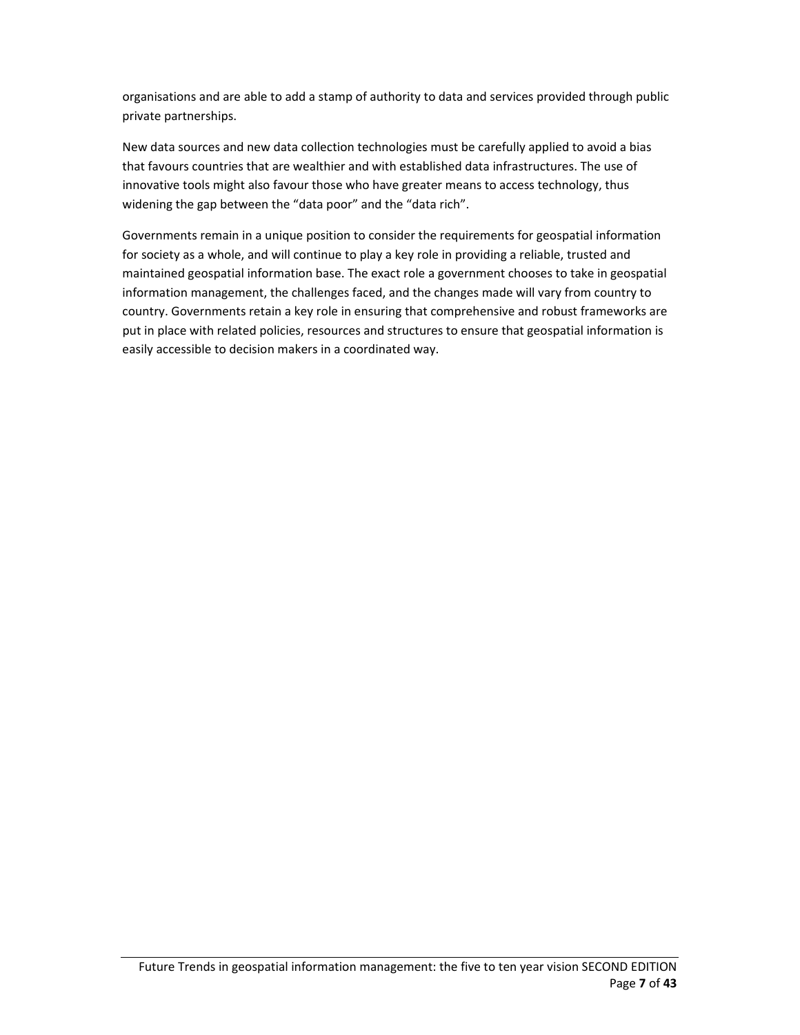organisations and are able to add a stamp of authority to data and services provided through public private partnerships.

New data sources and new data collection technologies must be carefully applied to avoid a bias that favours countries that are wealthier and with established data infrastructures. The use of innovative tools might also favour those who have greater means to access technology, thus widening the gap between the "data poor" and the "data rich".

Governments remain in a unique position to consider the requirements for geospatial information for society as a whole, and will continue to play a key role in providing a reliable, trusted and maintained geospatial information base. The exact role a government chooses to take in geospatial information management, the challenges faced, and the changes made will vary from country to country. Governments retain a key role in ensuring that comprehensive and robust frameworks are put in place with related policies, resources and structures to ensure that geospatial information is easily accessible to decision makers in a coordinated way.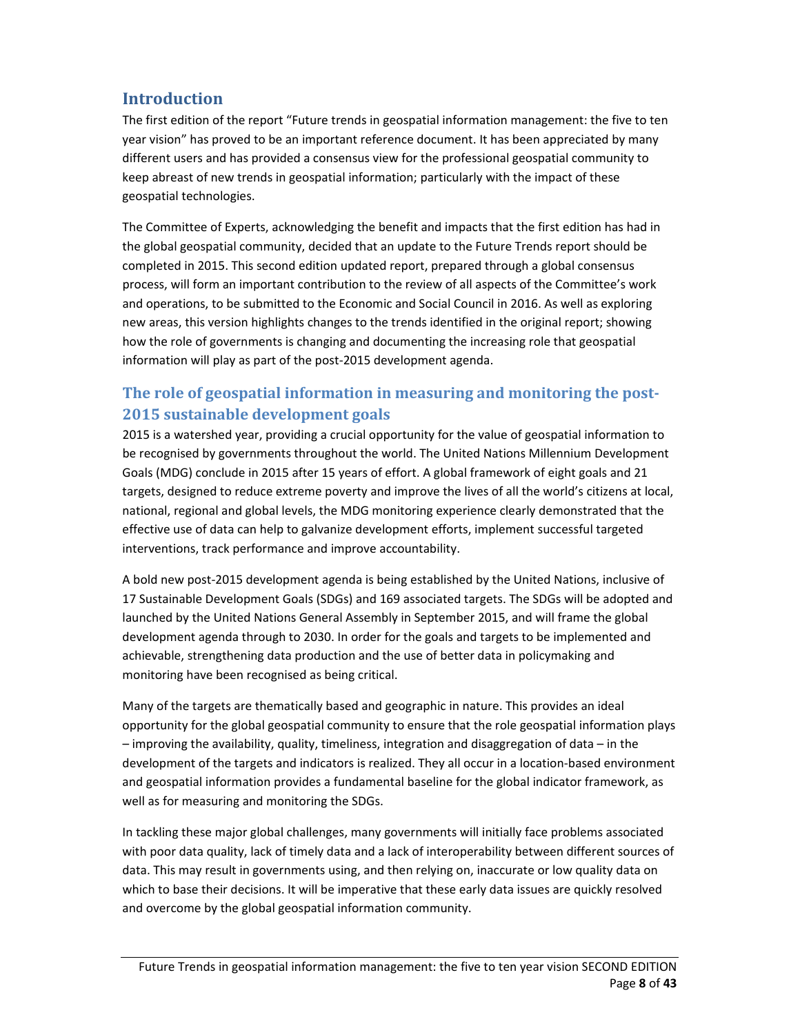## **Introduction**

The first edition of the report "Future trends in geospatial information management: the five to ten year vision" has proved to be an important reference document. It has been appreciated by many different users and has provided a consensus view for the professional geospatial community to keep abreast of new trends in geospatial information; particularly with the impact of these geospatial technologies.

The Committee of Experts, acknowledging the benefit and impacts that the first edition has had in the global geospatial community, decided that an update to the Future Trends report should be completed in 2015. This second edition updated report, prepared through a global consensus process, will form an important contribution to the review of all aspects of the Committee's work and operations, to be submitted to the Economic and Social Council in 2016. As well as exploring new areas, this version highlights changes to the trends identified in the original report; showing how the role of governments is changing and documenting the increasing role that geospatial information will play as part of the post-2015 development agenda.

## **The role of geospatial information in measuring and monitoring the post‐ 2015 sustainable development goals**

2015 is a watershed year, providing a crucial opportunity for the value of geospatial information to be recognised by governments throughout the world. The United Nations Millennium Development Goals (MDG) conclude in 2015 after 15 years of effort. A global framework of eight goals and 21 targets, designed to reduce extreme poverty and improve the lives of all the world's citizens at local, national, regional and global levels, the MDG monitoring experience clearly demonstrated that the effective use of data can help to galvanize development efforts, implement successful targeted interventions, track performance and improve accountability.

A bold new post‐2015 development agenda is being established by the United Nations, inclusive of 17 Sustainable Development Goals (SDGs) and 169 associated targets. The SDGs will be adopted and launched by the United Nations General Assembly in September 2015, and will frame the global development agenda through to 2030. In order for the goals and targets to be implemented and achievable, strengthening data production and the use of better data in policymaking and monitoring have been recognised as being critical.

Many of the targets are thematically based and geographic in nature. This provides an ideal opportunity for the global geospatial community to ensure that the role geospatial information plays – improving the availability, quality, timeliness, integration and disaggregation of data – in the development of the targets and indicators is realized. They all occur in a location‐based environment and geospatial information provides a fundamental baseline for the global indicator framework, as well as for measuring and monitoring the SDGs.

In tackling these major global challenges, many governments will initially face problems associated with poor data quality, lack of timely data and a lack of interoperability between different sources of data. This may result in governments using, and then relying on, inaccurate or low quality data on which to base their decisions. It will be imperative that these early data issues are quickly resolved and overcome by the global geospatial information community.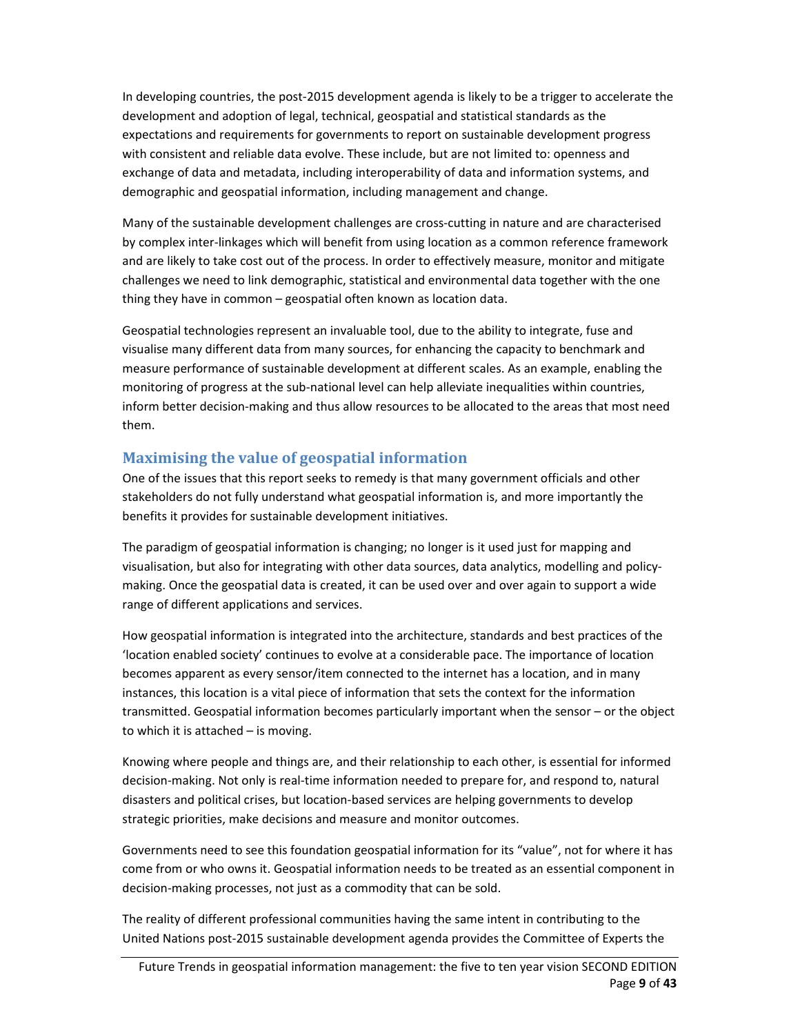In developing countries, the post‐2015 development agenda is likely to be a trigger to accelerate the development and adoption of legal, technical, geospatial and statistical standards as the expectations and requirements for governments to report on sustainable development progress with consistent and reliable data evolve. These include, but are not limited to: openness and exchange of data and metadata, including interoperability of data and information systems, and demographic and geospatial information, including management and change.

Many of the sustainable development challenges are cross‐cutting in nature and are characterised by complex inter‐linkages which will benefit from using location as a common reference framework and are likely to take cost out of the process. In order to effectively measure, monitor and mitigate challenges we need to link demographic, statistical and environmental data together with the one thing they have in common – geospatial often known as location data.

Geospatial technologies represent an invaluable tool, due to the ability to integrate, fuse and visualise many different data from many sources, for enhancing the capacity to benchmark and measure performance of sustainable development at different scales. As an example, enabling the monitoring of progress at the sub-national level can help alleviate inequalities within countries, inform better decision‐making and thus allow resources to be allocated to the areas that most need them.

#### **Maximising the value of geospatial information**

One of the issues that this report seeks to remedy is that many government officials and other stakeholders do not fully understand what geospatial information is, and more importantly the benefits it provides for sustainable development initiatives.

The paradigm of geospatial information is changing; no longer is it used just for mapping and visualisation, but also for integrating with other data sources, data analytics, modelling and policy‐ making. Once the geospatial data is created, it can be used over and over again to support a wide range of different applications and services.

How geospatial information is integrated into the architecture, standards and best practices of the 'location enabled society' continues to evolve at a considerable pace. The importance of location becomes apparent as every sensor/item connected to the internet has a location, and in many instances, this location is a vital piece of information that sets the context for the information transmitted. Geospatial information becomes particularly important when the sensor – or the object to which it is attached – is moving.

Knowing where people and things are, and their relationship to each other, is essential for informed decision‐making. Not only is real‐time information needed to prepare for, and respond to, natural disasters and political crises, but location‐based services are helping governments to develop strategic priorities, make decisions and measure and monitor outcomes.

Governments need to see this foundation geospatial information for its "value", not for where it has come from or who owns it. Geospatial information needs to be treated as an essential component in decision‐making processes, not just as a commodity that can be sold.

The reality of different professional communities having the same intent in contributing to the United Nations post‐2015 sustainable development agenda provides the Committee of Experts the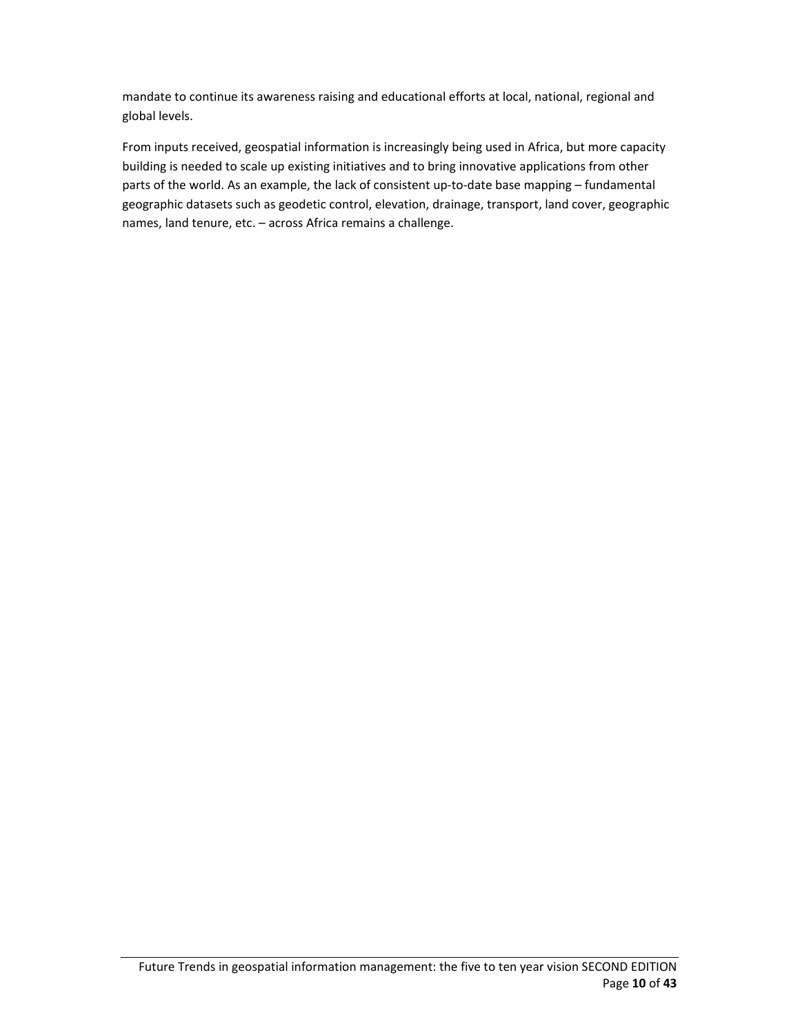mandate to continue its awareness raising and educational efforts at local, national, regional and global levels.

From inputs received, geospatial information is increasingly being used in Africa, but more capacity building is needed to scale up existing initiatives and to bring innovative applications from other parts of the world. As an example, the lack of consistent up-to-date base mapping – fundamental geographic datasets such as geodetic control, elevation, drainage, transport, land cover, geographic names, land tenure, etc. – across Africa remains a challenge.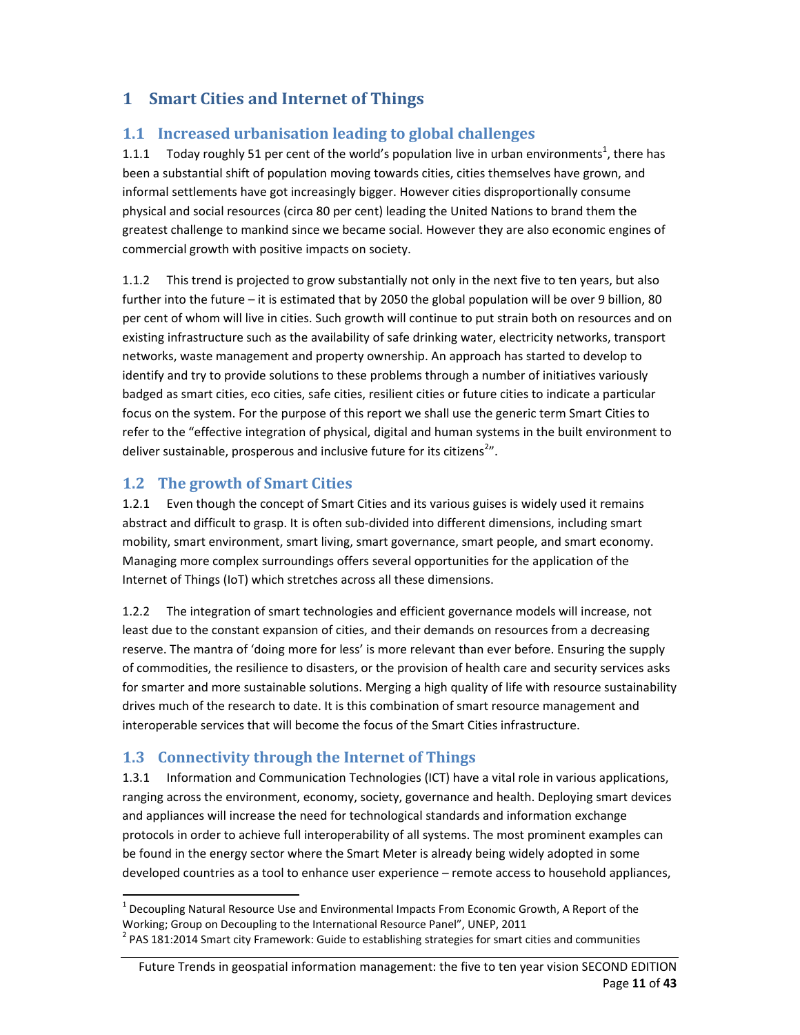## **1 Smart Cities and Internet of Things**

#### **1.1 Increased urbanisation leading to global challenges**

1.1.1 Today roughly 51 per cent of the world's population live in urban environments<sup>1</sup>, there has been a substantial shift of population moving towards cities, cities themselves have grown, and informal settlements have got increasingly bigger. However cities disproportionally consume physical and social resources (circa 80 per cent) leading the United Nations to brand them the greatest challenge to mankind since we became social. However they are also economic engines of commercial growth with positive impacts on society.

1.1.2 This trend is projected to grow substantially not only in the next five to ten years, but also further into the future – it is estimated that by 2050 the global population will be over 9 billion, 80 per cent of whom will live in cities. Such growth will continue to put strain both on resources and on existing infrastructure such as the availability of safe drinking water, electricity networks, transport networks, waste management and property ownership. An approach has started to develop to identify and try to provide solutions to these problems through a number of initiatives variously badged as smart cities, eco cities, safe cities, resilient cities or future cities to indicate a particular focus on the system. For the purpose of this report we shall use the generic term Smart Cities to refer to the "effective integration of physical, digital and human systems in the built environment to deliver sustainable, prosperous and inclusive future for its citizens<sup>2</sup>".

### **1.2 The growth of Smart Cities**

1.2.1 Even though the concept of Smart Cities and its various guises is widely used it remains abstract and difficult to grasp. It is often sub‐divided into different dimensions, including smart mobility, smart environment, smart living, smart governance, smart people, and smart economy. Managing more complex surroundings offers several opportunities for the application of the Internet of Things (IoT) which stretches across all these dimensions.

1.2.2 The integration of smart technologies and efficient governance models will increase, not least due to the constant expansion of cities, and their demands on resources from a decreasing reserve. The mantra of 'doing more for less' is more relevant than ever before. Ensuring the supply of commodities, the resilience to disasters, or the provision of health care and security services asks for smarter and more sustainable solutions. Merging a high quality of life with resource sustainability drives much of the research to date. It is this combination of smart resource management and interoperable services that will become the focus of the Smart Cities infrastructure.

## **1.3 Connectivity through the Internet of Things**

1.3.1 Information and Communication Technologies (ICT) have a vital role in various applications, ranging across the environment, economy, society, governance and health. Deploying smart devices and appliances will increase the need for technological standards and information exchange protocols in order to achieve full interoperability of all systems. The most prominent examples can be found in the energy sector where the Smart Meter is already being widely adopted in some developed countries as a tool to enhance user experience – remote access to household appliances,

 $<sup>1</sup>$  Decoupling Natural Resource Use and Environmental Impacts From Economic Growth, A Report of the</sup> Working; Group on Decoupling to the International Resource Panel", UNEP, 2011<br><sup>2</sup> PAS 181:2014 Smart city Framework: Guide to establishing strategies for smart cities and communities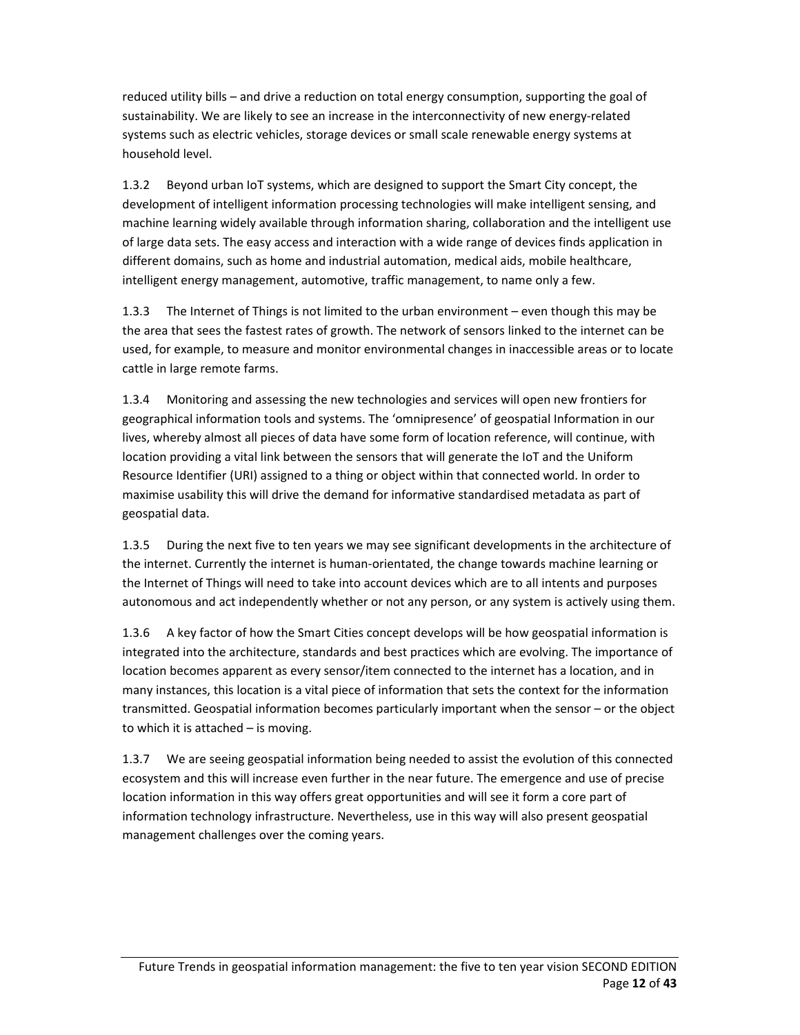reduced utility bills – and drive a reduction on total energy consumption, supporting the goal of sustainability. We are likely to see an increase in the interconnectivity of new energy‐related systems such as electric vehicles, storage devices or small scale renewable energy systems at household level.

1.3.2 Beyond urban IoT systems, which are designed to support the Smart City concept, the development of intelligent information processing technologies will make intelligent sensing, and machine learning widely available through information sharing, collaboration and the intelligent use of large data sets. The easy access and interaction with a wide range of devices finds application in different domains, such as home and industrial automation, medical aids, mobile healthcare, intelligent energy management, automotive, traffic management, to name only a few.

1.3.3 The Internet of Things is not limited to the urban environment – even though this may be the area that sees the fastest rates of growth. The network of sensors linked to the internet can be used, for example, to measure and monitor environmental changes in inaccessible areas or to locate cattle in large remote farms.

1.3.4 Monitoring and assessing the new technologies and services will open new frontiers for geographical information tools and systems. The 'omnipresence' of geospatial Information in our lives, whereby almost all pieces of data have some form of location reference, will continue, with location providing a vital link between the sensors that will generate the IoT and the Uniform Resource Identifier (URI) assigned to a thing or object within that connected world. In order to maximise usability this will drive the demand for informative standardised metadata as part of geospatial data.

1.3.5 During the next five to ten years we may see significant developments in the architecture of the internet. Currently the internet is human‐orientated, the change towards machine learning or the Internet of Things will need to take into account devices which are to all intents and purposes autonomous and act independently whether or not any person, or any system is actively using them.

1.3.6 A key factor of how the Smart Cities concept develops will be how geospatial information is integrated into the architecture, standards and best practices which are evolving. The importance of location becomes apparent as every sensor/item connected to the internet has a location, and in many instances, this location is a vital piece of information that sets the context for the information transmitted. Geospatial information becomes particularly important when the sensor – or the object to which it is attached – is moving.

1.3.7 We are seeing geospatial information being needed to assist the evolution of this connected ecosystem and this will increase even further in the near future. The emergence and use of precise location information in this way offers great opportunities and will see it form a core part of information technology infrastructure. Nevertheless, use in this way will also present geospatial management challenges over the coming years.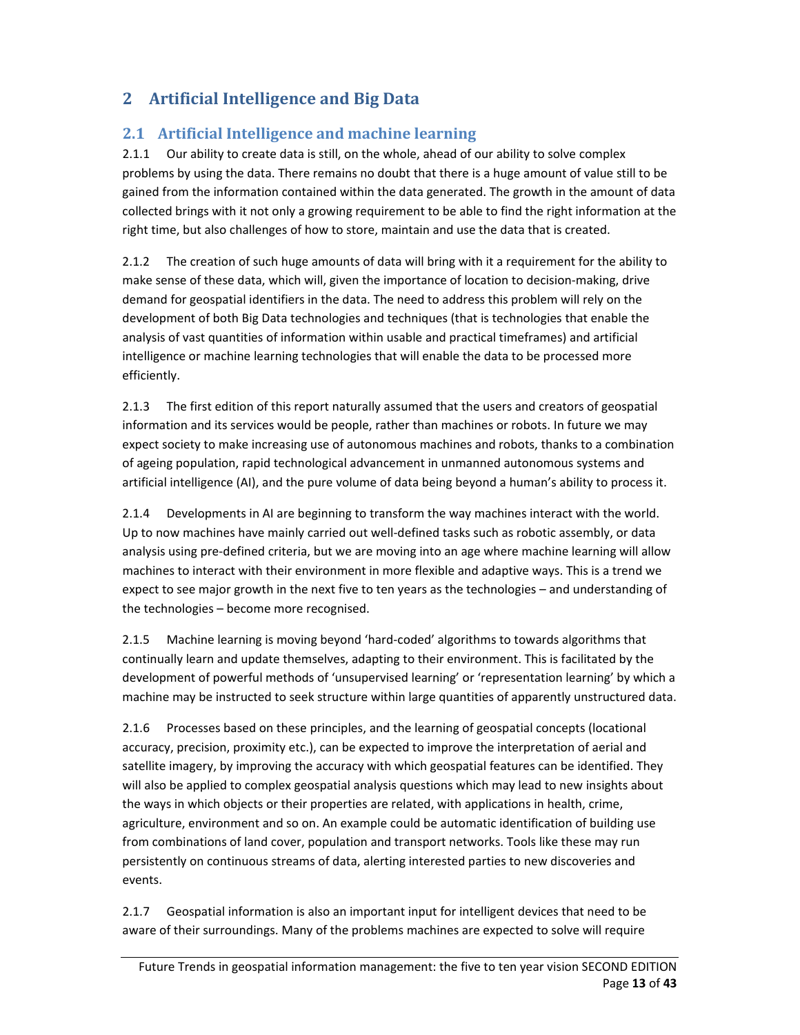# **2 Artificial Intelligence and Big Data**

### **2.1 Artificial Intelligence** and **machine** learning

2.1.1 Our ability to create data is still, on the whole, ahead of our ability to solve complex problems by using the data. There remains no doubt that there is a huge amount of value still to be gained from the information contained within the data generated. The growth in the amount of data collected brings with it not only a growing requirement to be able to find the right information at the right time, but also challenges of how to store, maintain and use the data that is created.

2.1.2 The creation of such huge amounts of data will bring with it a requirement for the ability to make sense of these data, which will, given the importance of location to decision-making, drive demand for geospatial identifiers in the data. The need to address this problem will rely on the development of both Big Data technologies and techniques (that is technologies that enable the analysis of vast quantities of information within usable and practical timeframes) and artificial intelligence or machine learning technologies that will enable the data to be processed more efficiently.

2.1.3 The first edition of this report naturally assumed that the users and creators of geospatial information and its services would be people, rather than machines or robots. In future we may expect society to make increasing use of autonomous machines and robots, thanks to a combination of ageing population, rapid technological advancement in unmanned autonomous systems and artificial intelligence (AI), and the pure volume of data being beyond a human's ability to process it.

2.1.4 Developments in AI are beginning to transform the way machines interact with the world. Up to now machines have mainly carried out well‐defined tasks such as robotic assembly, or data analysis using pre‐defined criteria, but we are moving into an age where machine learning will allow machines to interact with their environment in more flexible and adaptive ways. This is a trend we expect to see major growth in the next five to ten years as the technologies – and understanding of the technologies – become more recognised.

2.1.5 Machine learning is moving beyond 'hard‐coded' algorithms to towards algorithms that continually learn and update themselves, adapting to their environment. This is facilitated by the development of powerful methods of 'unsupervised learning' or 'representation learning' by which a machine may be instructed to seek structure within large quantities of apparently unstructured data.

2.1.6 Processes based on these principles, and the learning of geospatial concepts (locational accuracy, precision, proximity etc.), can be expected to improve the interpretation of aerial and satellite imagery, by improving the accuracy with which geospatial features can be identified. They will also be applied to complex geospatial analysis questions which may lead to new insights about the ways in which objects or their properties are related, with applications in health, crime, agriculture, environment and so on. An example could be automatic identification of building use from combinations of land cover, population and transport networks. Tools like these may run persistently on continuous streams of data, alerting interested parties to new discoveries and events.

2.1.7 Geospatial information is also an important input for intelligent devices that need to be aware of their surroundings. Many of the problems machines are expected to solve will require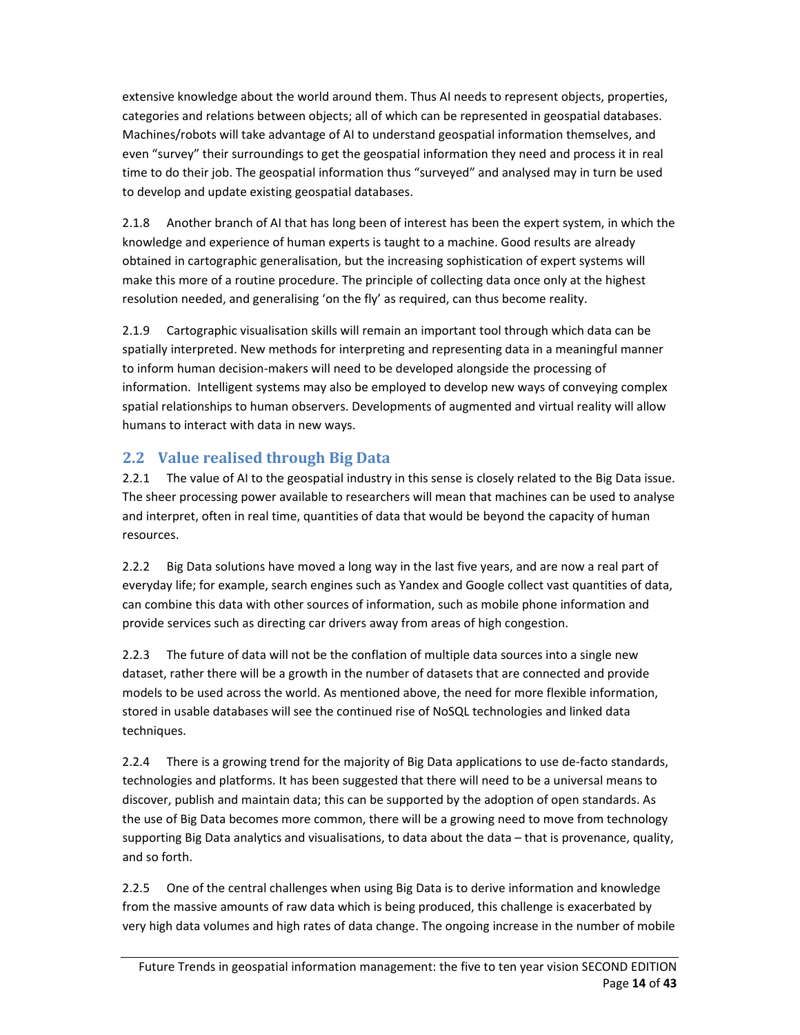extensive knowledge about the world around them. Thus AI needs to represent objects, properties, categories and relations between objects; all of which can be represented in geospatial databases. Machines/robots will take advantage of AI to understand geospatial information themselves, and even "survey" their surroundings to get the geospatial information they need and process it in real time to do their job. The geospatial information thus "surveyed" and analysed may in turn be used to develop and update existing geospatial databases.

2.1.8 Another branch of AI that has long been of interest has been the expert system, in which the knowledge and experience of human experts is taught to a machine. Good results are already obtained in cartographic generalisation, but the increasing sophistication of expert systems will make this more of a routine procedure. The principle of collecting data once only at the highest resolution needed, and generalising 'on the fly' as required, can thus become reality.

2.1.9 Cartographic visualisation skills will remain an important tool through which data can be spatially interpreted. New methods for interpreting and representing data in a meaningful manner to inform human decision‐makers will need to be developed alongside the processing of information. Intelligent systems may also be employed to develop new ways of conveying complex spatial relationships to human observers. Developments of augmented and virtual reality will allow humans to interact with data in new ways.

### **2.2 Value realised through Big Data**

2.2.1 The value of AI to the geospatial industry in this sense is closely related to the Big Data issue. The sheer processing power available to researchers will mean that machines can be used to analyse and interpret, often in real time, quantities of data that would be beyond the capacity of human resources.

2.2.2 Big Data solutions have moved a long way in the last five years, and are now a real part of everyday life; for example, search engines such as Yandex and Google collect vast quantities of data, can combine this data with other sources of information, such as mobile phone information and provide services such as directing car drivers away from areas of high congestion.

2.2.3 The future of data will not be the conflation of multiple data sources into a single new dataset, rather there will be a growth in the number of datasets that are connected and provide models to be used across the world. As mentioned above, the need for more flexible information, stored in usable databases will see the continued rise of NoSQL technologies and linked data techniques.

2.2.4 There is a growing trend for the majority of Big Data applications to use de-facto standards, technologies and platforms. It has been suggested that there will need to be a universal means to discover, publish and maintain data; this can be supported by the adoption of open standards. As the use of Big Data becomes more common, there will be a growing need to move from technology supporting Big Data analytics and visualisations, to data about the data – that is provenance, quality, and so forth.

2.2.5 One of the central challenges when using Big Data is to derive information and knowledge from the massive amounts of raw data which is being produced, this challenge is exacerbated by very high data volumes and high rates of data change. The ongoing increase in the number of mobile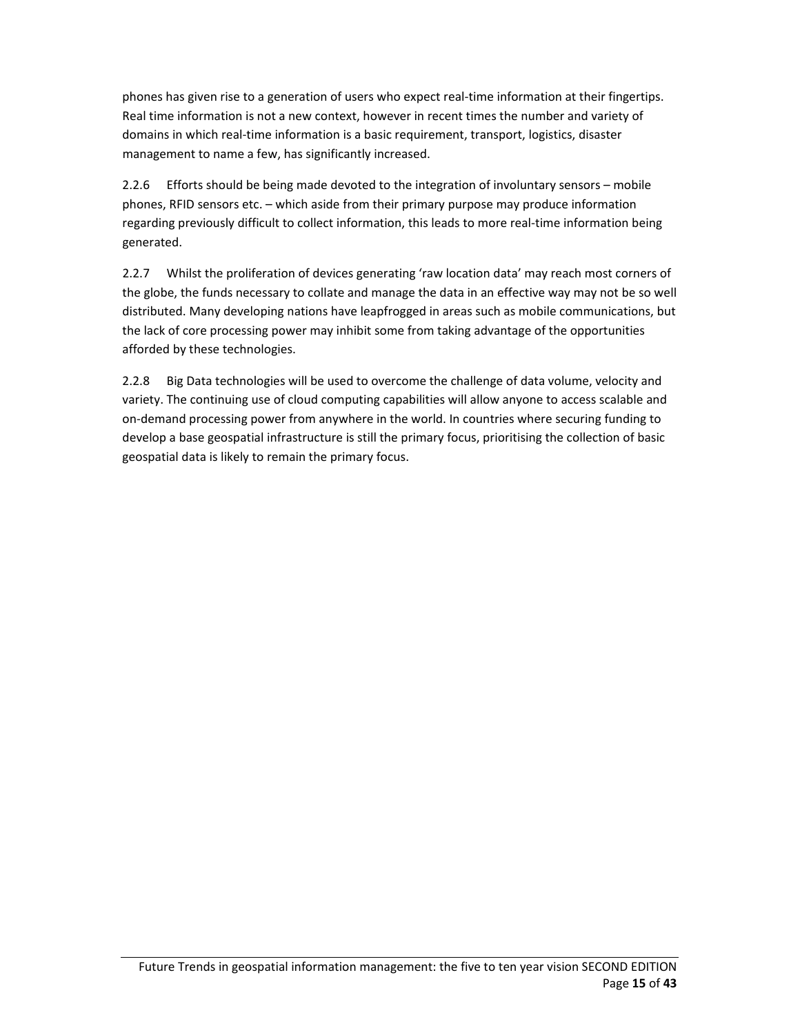phones has given rise to a generation of users who expect real‐time information at their fingertips. Real time information is not a new context, however in recent times the number and variety of domains in which real‐time information is a basic requirement, transport, logistics, disaster management to name a few, has significantly increased.

2.2.6 Efforts should be being made devoted to the integration of involuntary sensors – mobile phones, RFID sensors etc. – which aside from their primary purpose may produce information regarding previously difficult to collect information, this leads to more real-time information being generated.

2.2.7 Whilst the proliferation of devices generating 'raw location data' may reach most corners of the globe, the funds necessary to collate and manage the data in an effective way may not be so well distributed. Many developing nations have leapfrogged in areas such as mobile communications, but the lack of core processing power may inhibit some from taking advantage of the opportunities afforded by these technologies.

2.2.8 Big Data technologies will be used to overcome the challenge of data volume, velocity and variety. The continuing use of cloud computing capabilities will allow anyone to access scalable and on-demand processing power from anywhere in the world. In countries where securing funding to develop a base geospatial infrastructure is still the primary focus, prioritising the collection of basic geospatial data is likely to remain the primary focus.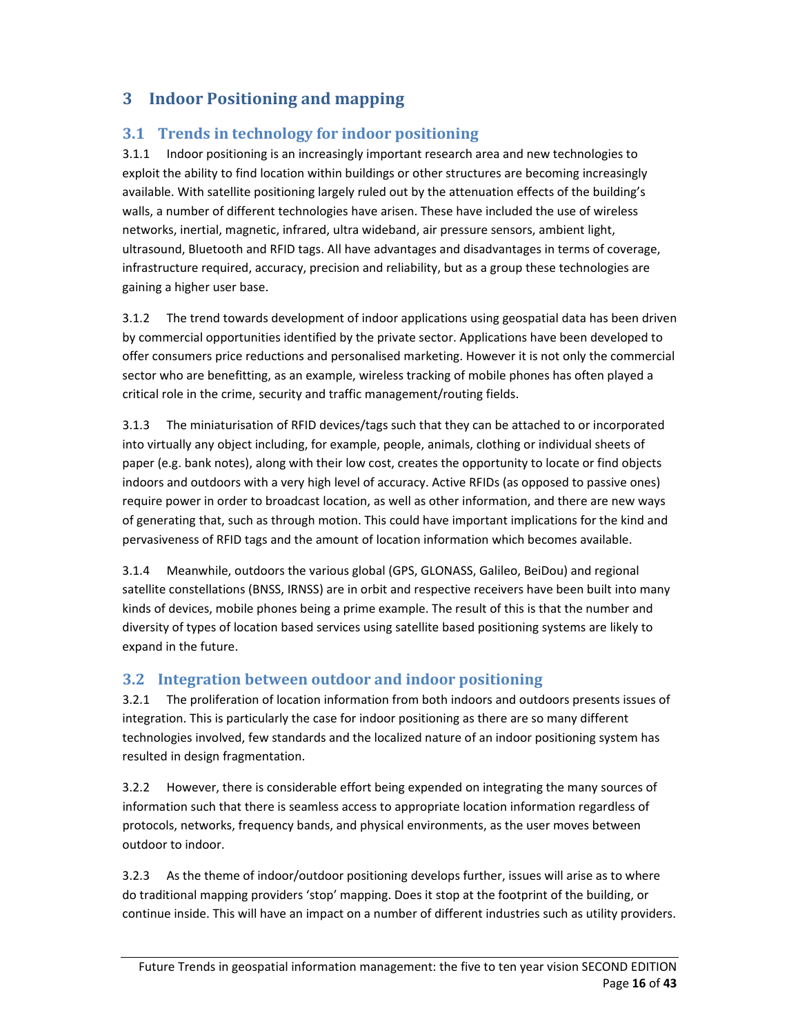## **3 Indoor Positioning and mapping**

### **3.1 Trends in technology for indoor positioning**

3.1.1 Indoor positioning is an increasingly important research area and new technologies to exploit the ability to find location within buildings or other structures are becoming increasingly available. With satellite positioning largely ruled out by the attenuation effects of the building's walls, a number of different technologies have arisen. These have included the use of wireless networks, inertial, magnetic, infrared, ultra wideband, air pressure sensors, ambient light, ultrasound, Bluetooth and RFID tags. All have advantages and disadvantages in terms of coverage, infrastructure required, accuracy, precision and reliability, but as a group these technologies are gaining a higher user base.

3.1.2 The trend towards development of indoor applications using geospatial data has been driven by commercial opportunities identified by the private sector. Applications have been developed to offer consumers price reductions and personalised marketing. However it is not only the commercial sector who are benefitting, as an example, wireless tracking of mobile phones has often played a critical role in the crime, security and traffic management/routing fields.

3.1.3 The miniaturisation of RFID devices/tags such that they can be attached to or incorporated into virtually any object including, for example, people, animals, clothing or individual sheets of paper (e.g. bank notes), along with their low cost, creates the opportunity to locate or find objects indoors and outdoors with a very high level of accuracy. Active RFIDs (as opposed to passive ones) require power in order to broadcast location, as well as other information, and there are new ways of generating that, such as through motion. This could have important implications for the kind and pervasiveness of RFID tags and the amount of location information which becomes available.

3.1.4 Meanwhile, outdoors the various global (GPS, GLONASS, Galileo, BeiDou) and regional satellite constellations (BNSS, IRNSS) are in orbit and respective receivers have been built into many kinds of devices, mobile phones being a prime example. The result of this is that the number and diversity of types of location based services using satellite based positioning systems are likely to expand in the future.

## **3.2 Integration between outdoor and indoor positioning**

3.2.1 The proliferation of location information from both indoors and outdoors presents issues of integration. This is particularly the case for indoor positioning as there are so many different technologies involved, few standards and the localized nature of an indoor positioning system has resulted in design fragmentation.

3.2.2 However, there is considerable effort being expended on integrating the many sources of information such that there is seamless access to appropriate location information regardless of protocols, networks, frequency bands, and physical environments, as the user moves between outdoor to indoor.

3.2.3 As the theme of indoor/outdoor positioning develops further, issues will arise as to where do traditional mapping providers 'stop' mapping. Does it stop at the footprint of the building, or continue inside. This will have an impact on a number of different industries such as utility providers.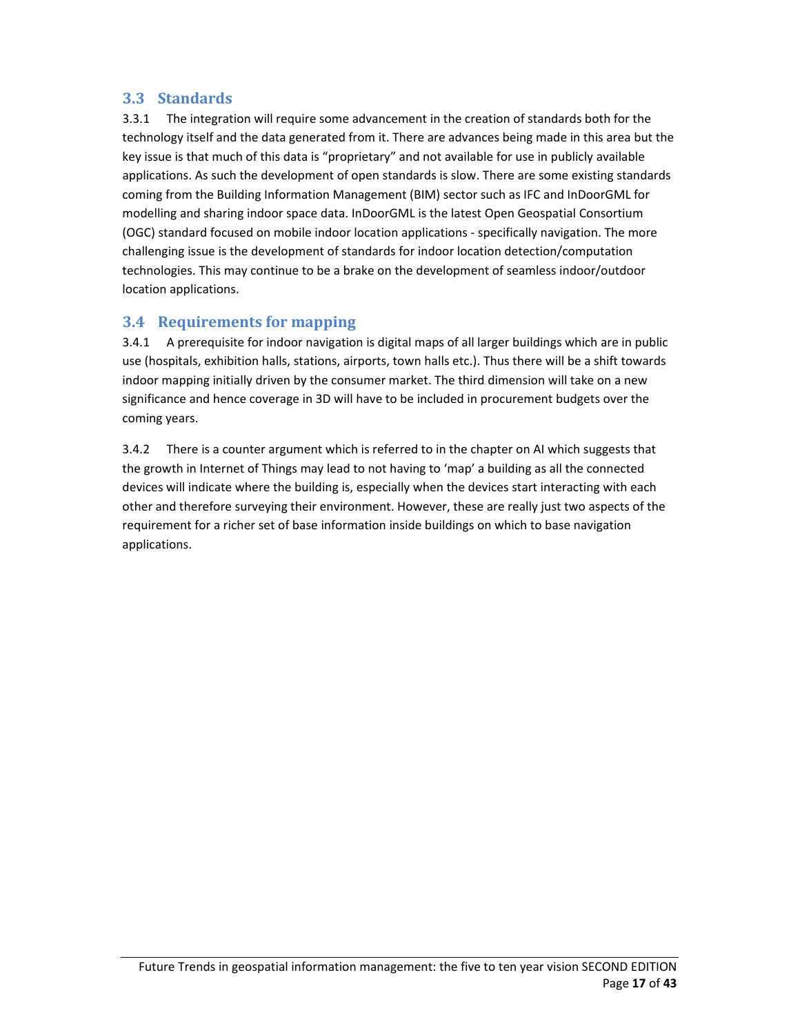#### **3.3 Standards**

3.3.1 The integration will require some advancement in the creation of standards both for the technology itself and the data generated from it. There are advances being made in this area but the key issue is that much of this data is "proprietary" and not available for use in publicly available applications. As such the development of open standards is slow. There are some existing standards coming from the Building Information Management (BIM) sector such as IFC and InDoorGML for modelling and sharing indoor space data. InDoorGML is the latest Open Geospatial Consortium (OGC) standard focused on mobile indoor location applications ‐ specifically navigation. The more challenging issue is the development of standards for indoor location detection/computation technologies. This may continue to be a brake on the development of seamless indoor/outdoor location applications.

#### **3.4 Requirements for mapping**

3.4.1 A prerequisite for indoor navigation is digital maps of all larger buildings which are in public use (hospitals, exhibition halls, stations, airports, town halls etc.). Thus there will be a shift towards indoor mapping initially driven by the consumer market. The third dimension will take on a new significance and hence coverage in 3D will have to be included in procurement budgets over the coming years.

3.4.2 There is a counter argument which is referred to in the chapter on AI which suggests that the growth in Internet of Things may lead to not having to 'map' a building as all the connected devices will indicate where the building is, especially when the devices start interacting with each other and therefore surveying their environment. However, these are really just two aspects of the requirement for a richer set of base information inside buildings on which to base navigation applications.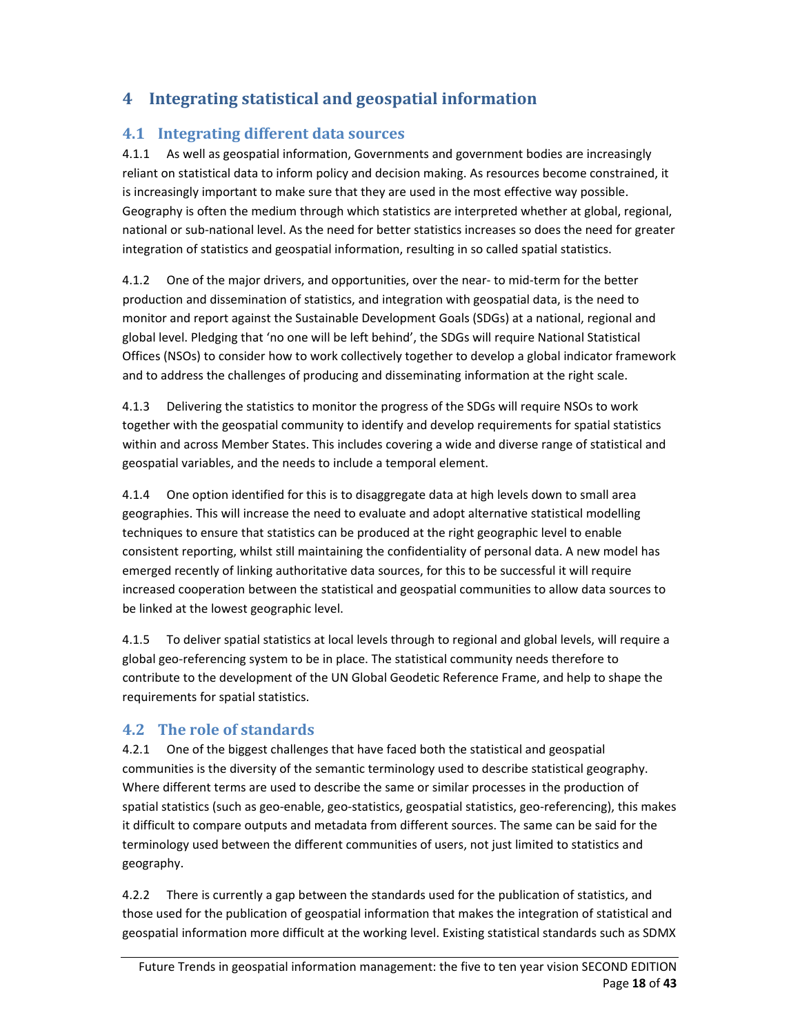## **4 Integrating statistical and geospatial information**

#### **4.1 Integrating different data sources**

4.1.1 As well as geospatial information, Governments and government bodies are increasingly reliant on statistical data to inform policy and decision making. As resources become constrained, it is increasingly important to make sure that they are used in the most effective way possible. Geography is often the medium through which statistics are interpreted whether at global, regional, national or sub‐national level. As the need for better statistics increases so does the need for greater integration of statistics and geospatial information, resulting in so called spatial statistics.

4.1.2 One of the major drivers, and opportunities, over the near-to mid-term for the better production and dissemination of statistics, and integration with geospatial data, is the need to monitor and report against the Sustainable Development Goals (SDGs) at a national, regional and global level. Pledging that 'no one will be left behind', the SDGs will require National Statistical Offices (NSOs) to consider how to work collectively together to develop a global indicator framework and to address the challenges of producing and disseminating information at the right scale.

4.1.3 Delivering the statistics to monitor the progress of the SDGs will require NSOs to work together with the geospatial community to identify and develop requirements for spatial statistics within and across Member States. This includes covering a wide and diverse range of statistical and geospatial variables, and the needs to include a temporal element.

4.1.4 One option identified for this is to disaggregate data at high levels down to small area geographies. This will increase the need to evaluate and adopt alternative statistical modelling techniques to ensure that statistics can be produced at the right geographic level to enable consistent reporting, whilst still maintaining the confidentiality of personal data. A new model has emerged recently of linking authoritative data sources, for this to be successful it will require increased cooperation between the statistical and geospatial communities to allow data sources to be linked at the lowest geographic level.

4.1.5 To deliver spatial statistics at local levels through to regional and global levels, will require a global geo‐referencing system to be in place. The statistical community needs therefore to contribute to the development of the UN Global Geodetic Reference Frame, and help to shape the requirements for spatial statistics.

#### **4.2 The role of standards**

4.2.1 One of the biggest challenges that have faced both the statistical and geospatial communities is the diversity of the semantic terminology used to describe statistical geography. Where different terms are used to describe the same or similar processes in the production of spatial statistics (such as geo-enable, geo-statistics, geospatial statistics, geo-referencing), this makes it difficult to compare outputs and metadata from different sources. The same can be said for the terminology used between the different communities of users, not just limited to statistics and geography.

4.2.2 There is currently a gap between the standards used for the publication of statistics, and those used for the publication of geospatial information that makes the integration of statistical and geospatial information more difficult at the working level. Existing statistical standards such as SDMX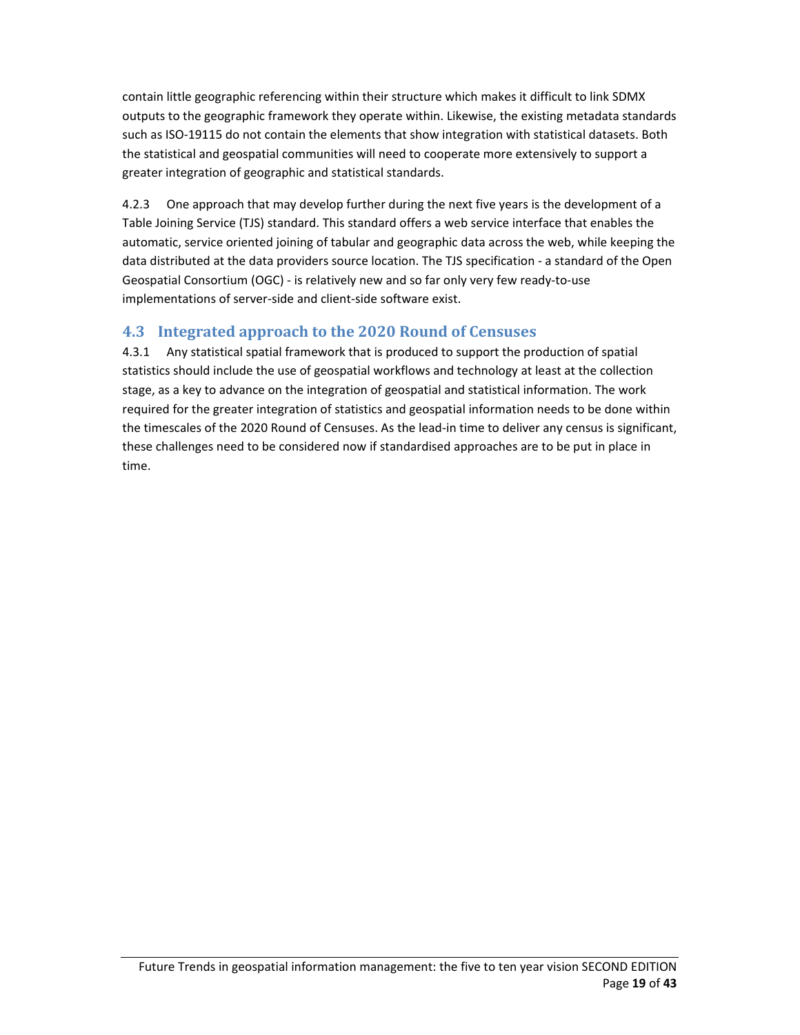contain little geographic referencing within their structure which makes it difficult to link SDMX outputs to the geographic framework they operate within. Likewise, the existing metadata standards such as ISO‐19115 do not contain the elements that show integration with statistical datasets. Both the statistical and geospatial communities will need to cooperate more extensively to support a greater integration of geographic and statistical standards.

4.2.3 One approach that may develop further during the next five years is the development of a Table Joining Service (TJS) standard. This standard offers a web service interface that enables the automatic, service oriented joining of tabular and geographic data across the web, while keeping the data distributed at the data providers source location. The TJS specification ‐ a standard of the Open Geospatial Consortium (OGC) ‐ is relatively new and so far only very few ready‐to‐use implementations of server-side and client-side software exist.

## **4.3 Integrated approach to the 2020 Round of Censuses**

4.3.1 Any statistical spatial framework that is produced to support the production of spatial statistics should include the use of geospatial workflows and technology at least at the collection stage, as a key to advance on the integration of geospatial and statistical information. The work required for the greater integration of statistics and geospatial information needs to be done within the timescales of the 2020 Round of Censuses. As the lead‐in time to deliver any census is significant, these challenges need to be considered now if standardised approaches are to be put in place in time.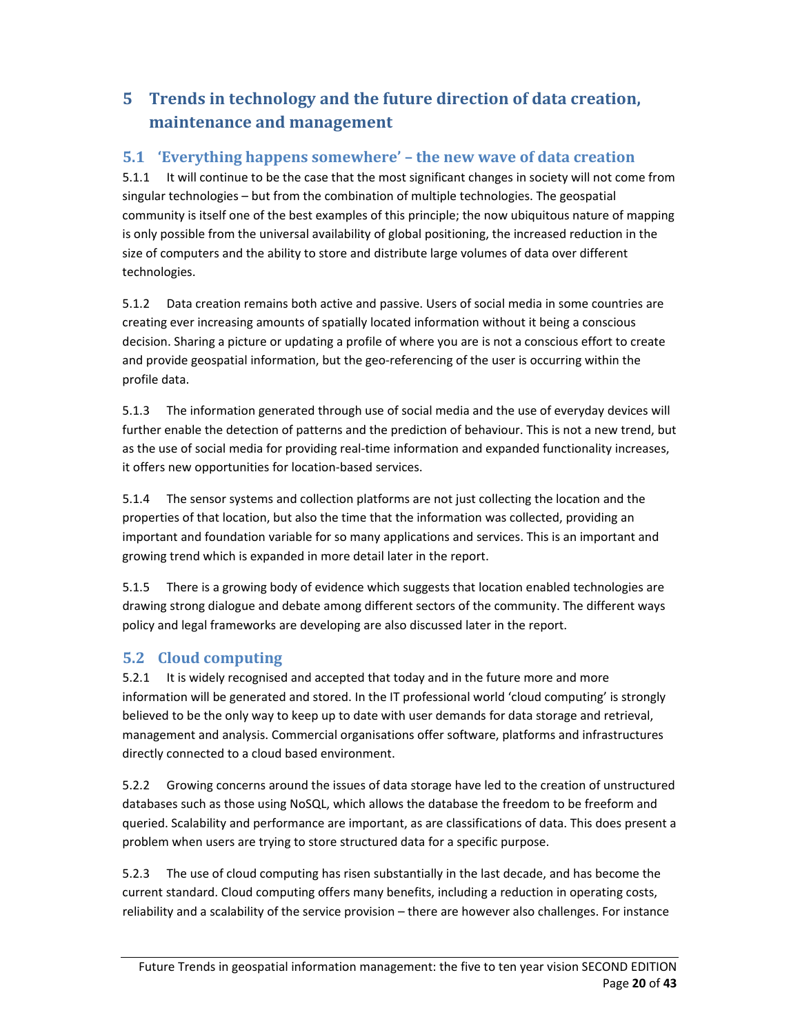# **5 Trends in technology and the future direction of data creation, maintenance** and **management**

### **5.1 'Everything happens somewhere' – the new wave of data creation**

5.1.1 It will continue to be the case that the most significant changes in society will not come from singular technologies – but from the combination of multiple technologies. The geospatial community is itself one of the best examples of this principle; the now ubiquitous nature of mapping is only possible from the universal availability of global positioning, the increased reduction in the size of computers and the ability to store and distribute large volumes of data over different technologies.

5.1.2 Data creation remains both active and passive. Users of social media in some countries are creating ever increasing amounts of spatially located information without it being a conscious decision. Sharing a picture or updating a profile of where you are is not a conscious effort to create and provide geospatial information, but the geo-referencing of the user is occurring within the profile data.

5.1.3 The information generated through use of social media and the use of everyday devices will further enable the detection of patterns and the prediction of behaviour. This is not a new trend, but as the use of social media for providing real-time information and expanded functionality increases, it offers new opportunities for location‐based services.

5.1.4 The sensor systems and collection platforms are not just collecting the location and the properties of that location, but also the time that the information was collected, providing an important and foundation variable for so many applications and services. This is an important and growing trend which is expanded in more detail later in the report.

5.1.5 There is a growing body of evidence which suggests that location enabled technologies are drawing strong dialogue and debate among different sectors of the community. The different ways policy and legal frameworks are developing are also discussed later in the report.

#### **5.2 Cloud computing**

5.2.1 It is widely recognised and accepted that today and in the future more and more information will be generated and stored. In the IT professional world 'cloud computing' is strongly believed to be the only way to keep up to date with user demands for data storage and retrieval, management and analysis. Commercial organisations offer software, platforms and infrastructures directly connected to a cloud based environment.

5.2.2 Growing concerns around the issues of data storage have led to the creation of unstructured databases such as those using NoSQL, which allows the database the freedom to be freeform and queried. Scalability and performance are important, as are classifications of data. This does present a problem when users are trying to store structured data for a specific purpose.

5.2.3 The use of cloud computing has risen substantially in the last decade, and has become the current standard. Cloud computing offers many benefits, including a reduction in operating costs, reliability and a scalability of the service provision – there are however also challenges. For instance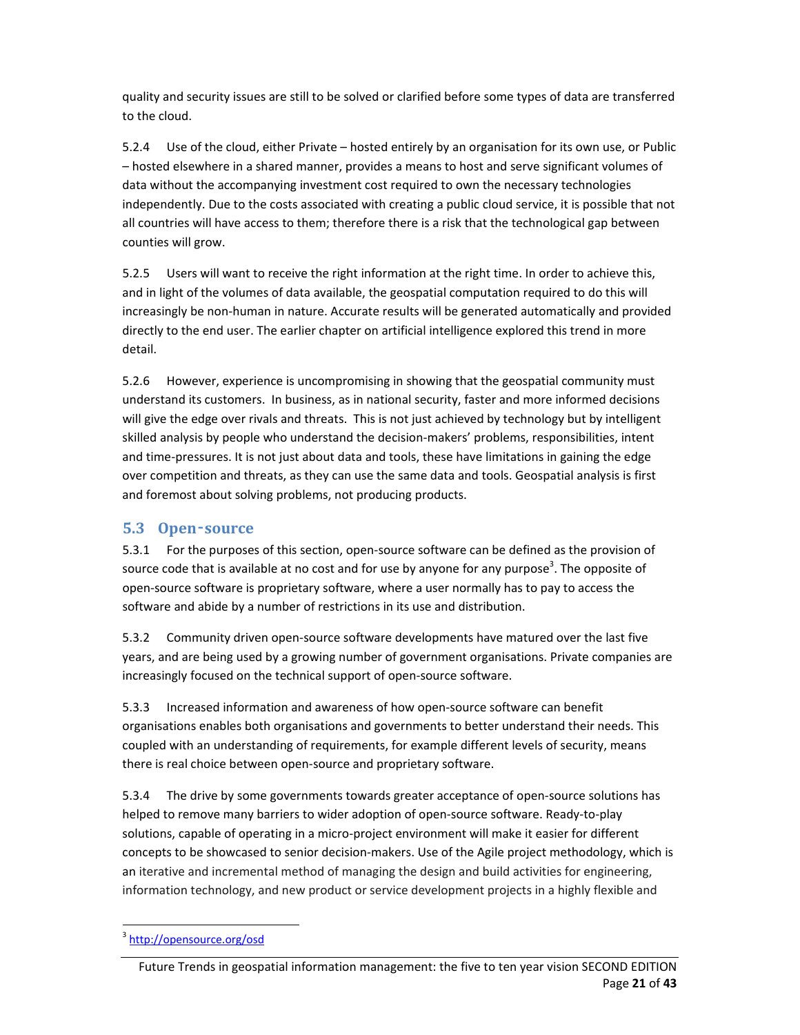quality and security issues are still to be solved or clarified before some types of data are transferred to the cloud.

5.2.4 Use of the cloud, either Private – hosted entirely by an organisation for its own use, or Public – hosted elsewhere in a shared manner, provides a means to host and serve significant volumes of data without the accompanying investment cost required to own the necessary technologies independently. Due to the costs associated with creating a public cloud service, it is possible that not all countries will have access to them; therefore there is a risk that the technological gap between counties will grow.

5.2.5 Users will want to receive the right information at the right time. In order to achieve this, and in light of the volumes of data available, the geospatial computation required to do this will increasingly be non‐human in nature. Accurate results will be generated automatically and provided directly to the end user. The earlier chapter on artificial intelligence explored this trend in more detail.

5.2.6 However, experience is uncompromising in showing that the geospatial community must understand its customers. In business, as in national security, faster and more informed decisions will give the edge over rivals and threats. This is not just achieved by technology but by intelligent skilled analysis by people who understand the decision-makers' problems, responsibilities, intent and time‐pressures. It is not just about data and tools, these have limitations in gaining the edge over competition and threats, as they can use the same data and tools. Geospatial analysis is first and foremost about solving problems, not producing products.

#### **5.3 Open**‑**source**

5.3.1 For the purposes of this section, open‐source software can be defined as the provision of source code that is available at no cost and for use by anyone for any purpose<sup>3</sup>. The opposite of open‐source software is proprietary software, where a user normally has to pay to access the software and abide by a number of restrictions in its use and distribution.

5.3.2 Community driven open‐source software developments have matured over the last five years, and are being used by a growing number of government organisations. Private companies are increasingly focused on the technical support of open‐source software.

5.3.3 Increased information and awareness of how open‐source software can benefit organisations enables both organisations and governments to better understand their needs. This coupled with an understanding of requirements, for example different levels of security, means there is real choice between open‐source and proprietary software.

5.3.4 The drive by some governments towards greater acceptance of open-source solutions has helped to remove many barriers to wider adoption of open‐source software. Ready‐to‐play solutions, capable of operating in a micro-project environment will make it easier for different concepts to be showcased to senior decision-makers. Use of the Agile project methodology, which is an iterative and incremental method of managing the design and build activities for engineering, information technology, and new product or service development projects in a highly flexible and

 <sup>3</sup> http://opensource.org/osd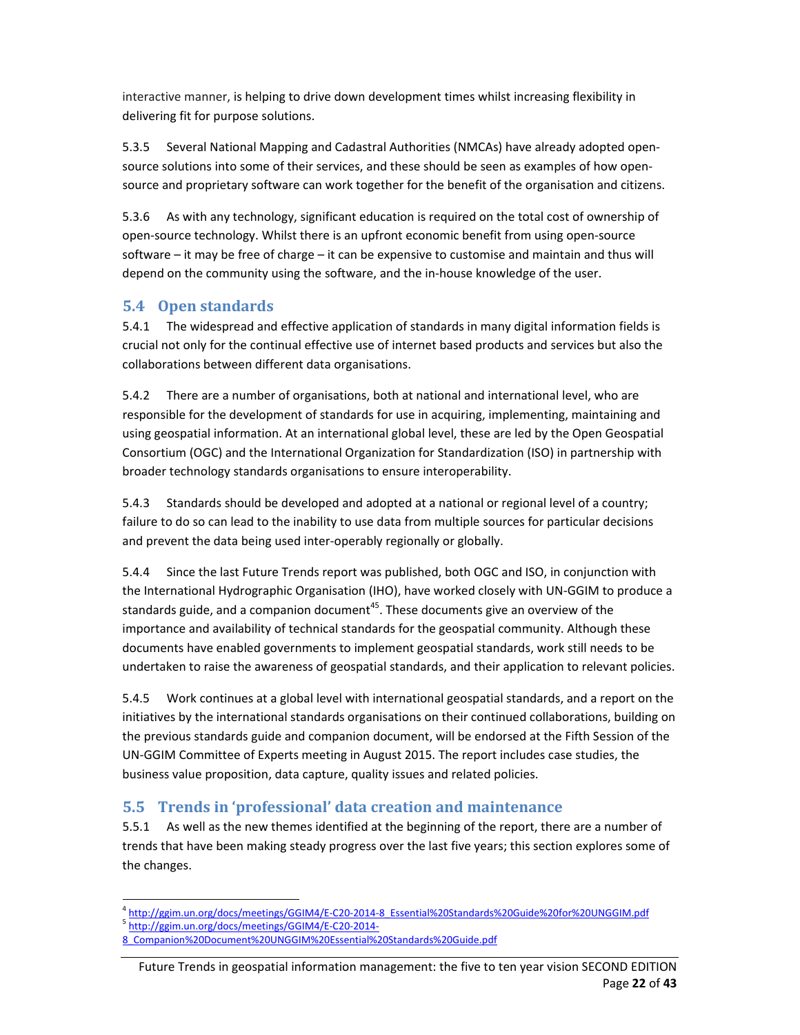interactive manner, is helping to drive down development times whilst increasing flexibility in delivering fit for purpose solutions.

5.3.5 Several National Mapping and Cadastral Authorities (NMCAs) have already adopted open‐ source solutions into some of their services, and these should be seen as examples of how open‐ source and proprietary software can work together for the benefit of the organisation and citizens.

5.3.6 As with any technology, significant education is required on the total cost of ownership of open‐source technology. Whilst there is an upfront economic benefit from using open‐source software – it may be free of charge – it can be expensive to customise and maintain and thus will depend on the community using the software, and the in‐house knowledge of the user.

#### **5.4 Open standards**

5.4.1 The widespread and effective application of standards in many digital information fields is crucial not only for the continual effective use of internet based products and services but also the collaborations between different data organisations.

5.4.2 There are a number of organisations, both at national and international level, who are responsible for the development of standards for use in acquiring, implementing, maintaining and using geospatial information. At an international global level, these are led by the Open Geospatial Consortium (OGC) and the International Organization for Standardization (ISO) in partnership with broader technology standards organisations to ensure interoperability.

5.4.3 Standards should be developed and adopted at a national or regional level of a country; failure to do so can lead to the inability to use data from multiple sources for particular decisions and prevent the data being used inter‐operably regionally or globally.

5.4.4 Since the last Future Trends report was published, both OGC and ISO, in conjunction with the International Hydrographic Organisation (IHO), have worked closely with UN‐GGIM to produce a standards guide, and a companion document<sup>45</sup>. These documents give an overview of the importance and availability of technical standards for the geospatial community. Although these documents have enabled governments to implement geospatial standards, work still needs to be undertaken to raise the awareness of geospatial standards, and their application to relevant policies.

5.4.5 Work continues at a global level with international geospatial standards, and a report on the initiatives by the international standards organisations on their continued collaborations, building on the previous standards guide and companion document, will be endorsed at the Fifth Session of the UN‐GGIM Committee of Experts meeting in August 2015. The report includes case studies, the business value proposition, data capture, quality issues and related policies.

#### **5.5 Trends in 'professional' data creation and maintenance**

5.5.1 As well as the new themes identified at the beginning of the report, there are a number of trends that have been making steady progress over the last five years; this section explores some of the changes.

 4 http://ggim.un.org/docs/meetings/GGIM4/E‐C20‐2014‐8\_Essential%20Standards%20Guide%20for%20UNGGIM.pdf<br><sup>5</sup> http://ggim.un.org/docs/meetings/GGIM4/E‐C20‐2014‐

<sup>8</sup>\_Companion%20Document%20UNGGIM%20Essential%20Standards%20Guide.pdf

Future Trends in geospatial information management: the five to ten year vision SECOND EDITION Page **22** of **43**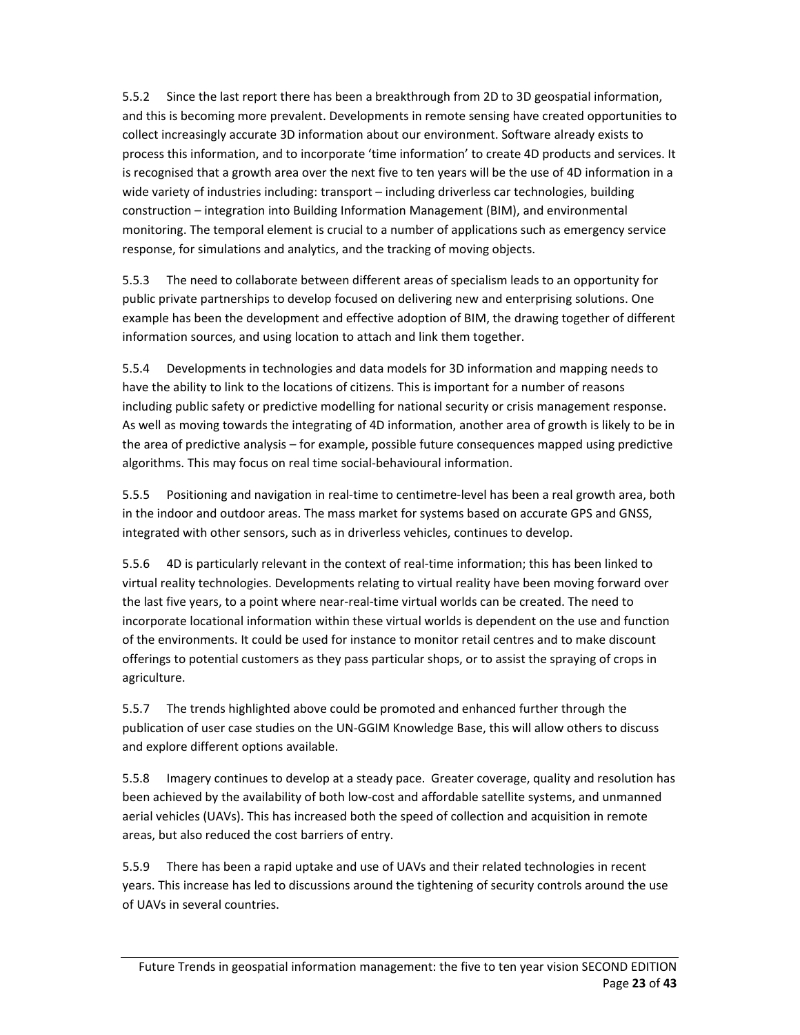5.5.2 Since the last report there has been a breakthrough from 2D to 3D geospatial information, and this is becoming more prevalent. Developments in remote sensing have created opportunities to collect increasingly accurate 3D information about our environment. Software already exists to process this information, and to incorporate 'time information' to create 4D products and services. It is recognised that a growth area over the next five to ten years will be the use of 4D information in a wide variety of industries including: transport – including driverless car technologies, building construction – integration into Building Information Management (BIM), and environmental monitoring. The temporal element is crucial to a number of applications such as emergency service response, for simulations and analytics, and the tracking of moving objects.

5.5.3 The need to collaborate between different areas of specialism leads to an opportunity for public private partnerships to develop focused on delivering new and enterprising solutions. One example has been the development and effective adoption of BIM, the drawing together of different information sources, and using location to attach and link them together.

5.5.4 Developments in technologies and data models for 3D information and mapping needs to have the ability to link to the locations of citizens. This is important for a number of reasons including public safety or predictive modelling for national security or crisis management response. As well as moving towards the integrating of 4D information, another area of growth is likely to be in the area of predictive analysis – for example, possible future consequences mapped using predictive algorithms. This may focus on real time social‐behavioural information.

5.5.5 Positioning and navigation in real-time to centimetre-level has been a real growth area, both in the indoor and outdoor areas. The mass market for systems based on accurate GPS and GNSS, integrated with other sensors, such as in driverless vehicles, continues to develop.

5.5.6 4D is particularly relevant in the context of real-time information; this has been linked to virtual reality technologies. Developments relating to virtual reality have been moving forward over the last five years, to a point where near‐real‐time virtual worlds can be created. The need to incorporate locational information within these virtual worlds is dependent on the use and function of the environments. It could be used for instance to monitor retail centres and to make discount offerings to potential customers as they pass particular shops, or to assist the spraying of crops in agriculture.

5.5.7 The trends highlighted above could be promoted and enhanced further through the publication of user case studies on the UN‐GGIM Knowledge Base, this will allow others to discuss and explore different options available.

5.5.8 Imagery continues to develop at a steady pace. Greater coverage, quality and resolution has been achieved by the availability of both low-cost and affordable satellite systems, and unmanned aerial vehicles (UAVs). This has increased both the speed of collection and acquisition in remote areas, but also reduced the cost barriers of entry.

5.5.9 There has been a rapid uptake and use of UAVs and their related technologies in recent years. This increase has led to discussions around the tightening of security controls around the use of UAVs in several countries.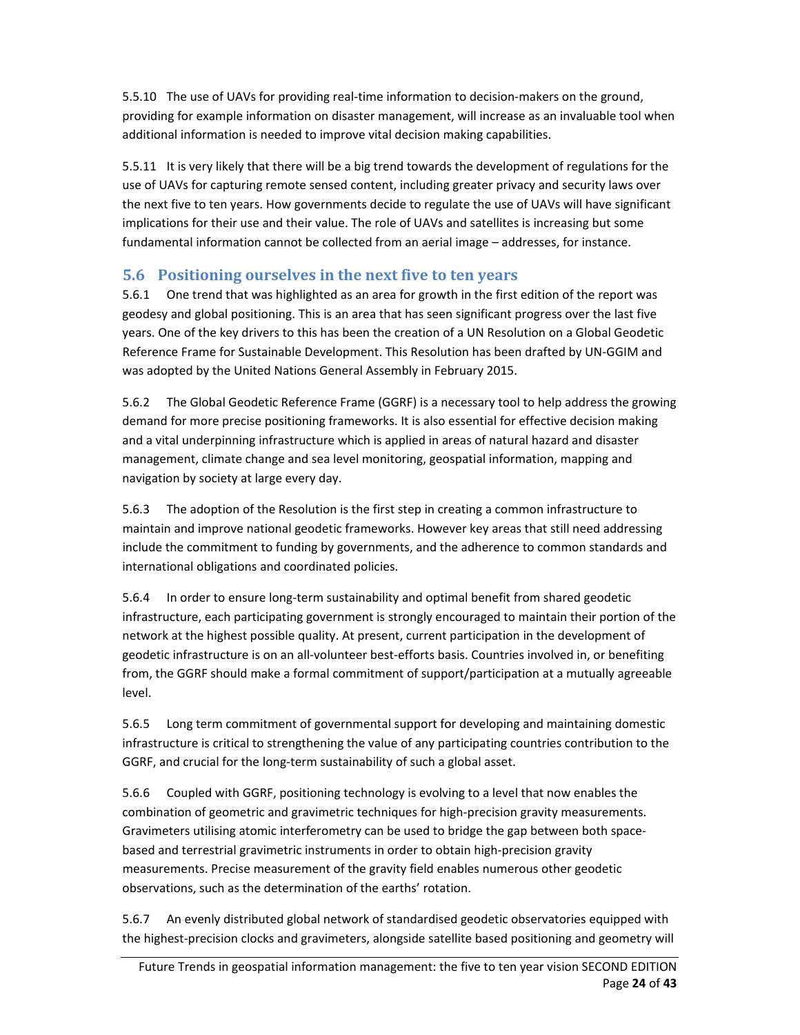5.5.10 The use of UAVs for providing real‐time information to decision‐makers on the ground, providing for example information on disaster management, will increase as an invaluable tool when additional information is needed to improve vital decision making capabilities.

5.5.11 It is very likely that there will be a big trend towards the development of regulations for the use of UAVs for capturing remote sensed content, including greater privacy and security laws over the next five to ten years. How governments decide to regulate the use of UAVs will have significant implications for their use and their value. The role of UAVs and satellites is increasing but some fundamental information cannot be collected from an aerial image – addresses, for instance.

#### **5.6 Positioning ourselves in the next five to ten years**

5.6.1 One trend that was highlighted as an area for growth in the first edition of the report was geodesy and global positioning. This is an area that has seen significant progress over the last five years. One of the key drivers to this has been the creation of a UN Resolution on a Global Geodetic Reference Frame for Sustainable Development. This Resolution has been drafted by UN‐GGIM and was adopted by the United Nations General Assembly in February 2015.

5.6.2 The Global Geodetic Reference Frame (GGRF) is a necessary tool to help address the growing demand for more precise positioning frameworks. It is also essential for effective decision making and a vital underpinning infrastructure which is applied in areas of natural hazard and disaster management, climate change and sea level monitoring, geospatial information, mapping and navigation by society at large every day.

5.6.3 The adoption of the Resolution is the first step in creating a common infrastructure to maintain and improve national geodetic frameworks. However key areas that still need addressing include the commitment to funding by governments, and the adherence to common standards and international obligations and coordinated policies.

5.6.4 In order to ensure long‐term sustainability and optimal benefit from shared geodetic infrastructure, each participating government is strongly encouraged to maintain their portion of the network at the highest possible quality. At present, current participation in the development of geodetic infrastructure is on an all-volunteer best-efforts basis. Countries involved in, or benefiting from, the GGRF should make a formal commitment of support/participation at a mutually agreeable level.

5.6.5 Long term commitment of governmental support for developing and maintaining domestic infrastructure is critical to strengthening the value of any participating countries contribution to the GGRF, and crucial for the long‐term sustainability of such a global asset.

5.6.6 Coupled with GGRF, positioning technology is evolving to a level that now enables the combination of geometric and gravimetric techniques for high-precision gravity measurements. Gravimeters utilising atomic interferometry can be used to bridge the gap between both space‐ based and terrestrial gravimetric instruments in order to obtain high-precision gravity measurements. Precise measurement of the gravity field enables numerous other geodetic observations, such as the determination of the earths' rotation.

5.6.7 An evenly distributed global network of standardised geodetic observatories equipped with the highest‐precision clocks and gravimeters, alongside satellite based positioning and geometry will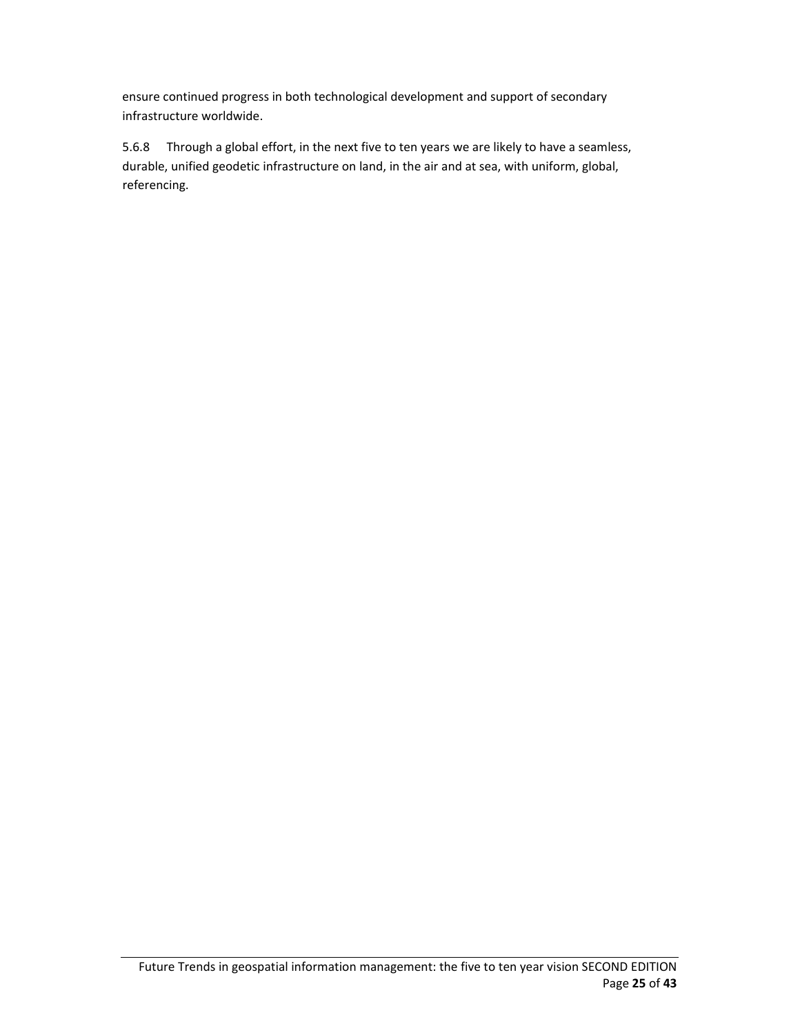ensure continued progress in both technological development and support of secondary infrastructure worldwide.

5.6.8 Through a global effort, in the next five to ten years we are likely to have a seamless, durable, unified geodetic infrastructure on land, in the air and at sea, with uniform, global, referencing.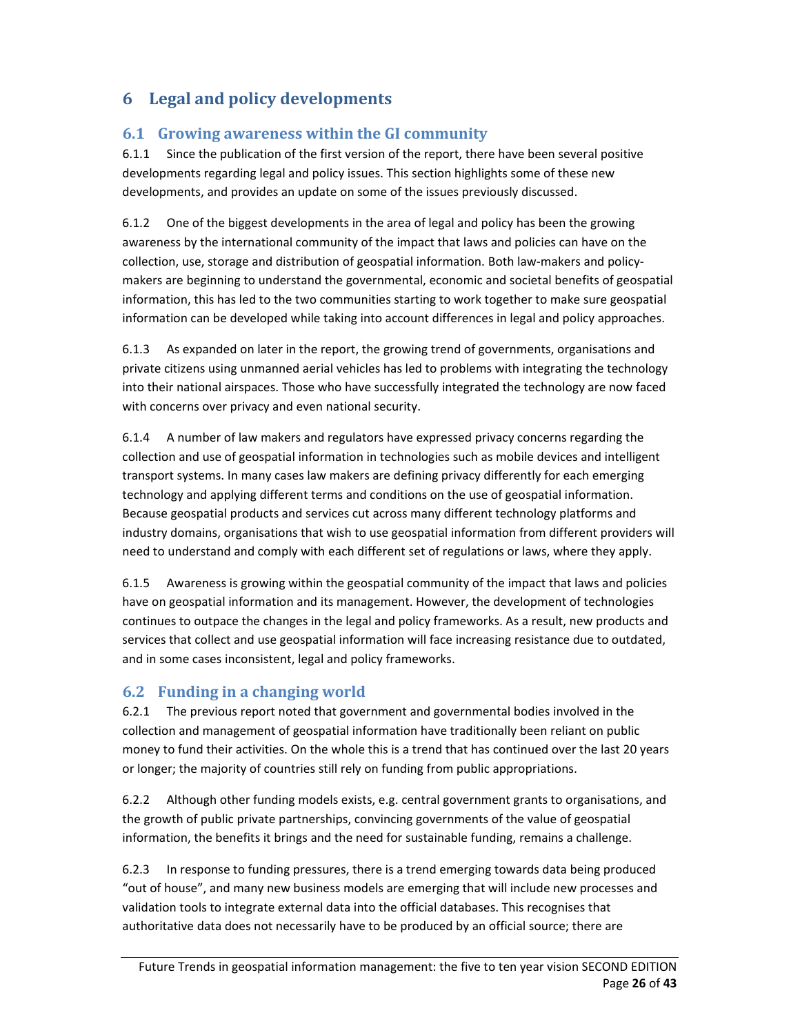## **6 Legal and policy developments**

#### **6.1 Growing awareness within the GI community**

6.1.1 Since the publication of the first version of the report, there have been several positive developments regarding legal and policy issues. This section highlights some of these new developments, and provides an update on some of the issues previously discussed.

6.1.2 One of the biggest developments in the area of legal and policy has been the growing awareness by the international community of the impact that laws and policies can have on the collection, use, storage and distribution of geospatial information. Both law-makers and policymakers are beginning to understand the governmental, economic and societal benefits of geospatial information, this has led to the two communities starting to work together to make sure geospatial information can be developed while taking into account differences in legal and policy approaches.

6.1.3 As expanded on later in the report, the growing trend of governments, organisations and private citizens using unmanned aerial vehicles has led to problems with integrating the technology into their national airspaces. Those who have successfully integrated the technology are now faced with concerns over privacy and even national security.

6.1.4 A number of law makers and regulators have expressed privacy concerns regarding the collection and use of geospatial information in technologies such as mobile devices and intelligent transport systems. In many cases law makers are defining privacy differently for each emerging technology and applying different terms and conditions on the use of geospatial information. Because geospatial products and services cut across many different technology platforms and industry domains, organisations that wish to use geospatial information from different providers will need to understand and comply with each different set of regulations or laws, where they apply.

6.1.5 Awareness is growing within the geospatial community of the impact that laws and policies have on geospatial information and its management. However, the development of technologies continues to outpace the changes in the legal and policy frameworks. As a result, new products and services that collect and use geospatial information will face increasing resistance due to outdated, and in some cases inconsistent, legal and policy frameworks.

#### **6.2 Funding in a changing world**

6.2.1 The previous report noted that government and governmental bodies involved in the collection and management of geospatial information have traditionally been reliant on public money to fund their activities. On the whole this is a trend that has continued over the last 20 years or longer; the majority of countries still rely on funding from public appropriations.

6.2.2 Although other funding models exists, e.g. central government grants to organisations, and the growth of public private partnerships, convincing governments of the value of geospatial information, the benefits it brings and the need for sustainable funding, remains a challenge.

6.2.3 In response to funding pressures, there is a trend emerging towards data being produced "out of house", and many new business models are emerging that will include new processes and validation tools to integrate external data into the official databases. This recognises that authoritative data does not necessarily have to be produced by an official source; there are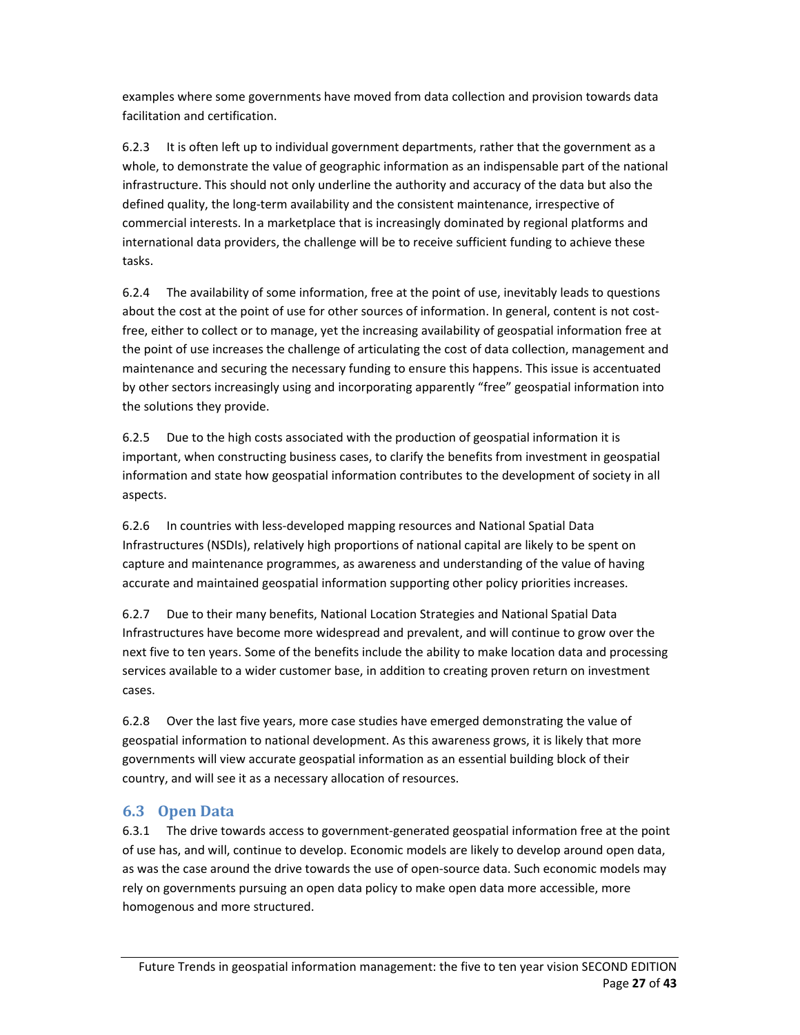examples where some governments have moved from data collection and provision towards data facilitation and certification.

6.2.3 It is often left up to individual government departments, rather that the government as a whole, to demonstrate the value of geographic information as an indispensable part of the national infrastructure. This should not only underline the authority and accuracy of the data but also the defined quality, the long‐term availability and the consistent maintenance, irrespective of commercial interests. In a marketplace that is increasingly dominated by regional platforms and international data providers, the challenge will be to receive sufficient funding to achieve these tasks.

6.2.4 The availability of some information, free at the point of use, inevitably leads to questions about the cost at the point of use for other sources of information. In general, content is not costfree, either to collect or to manage, yet the increasing availability of geospatial information free at the point of use increases the challenge of articulating the cost of data collection, management and maintenance and securing the necessary funding to ensure this happens. This issue is accentuated by other sectors increasingly using and incorporating apparently "free" geospatial information into the solutions they provide.

6.2.5 Due to the high costs associated with the production of geospatial information it is important, when constructing business cases, to clarify the benefits from investment in geospatial information and state how geospatial information contributes to the development of society in all aspects.

6.2.6 In countries with less‐developed mapping resources and National Spatial Data Infrastructures (NSDIs), relatively high proportions of national capital are likely to be spent on capture and maintenance programmes, as awareness and understanding of the value of having accurate and maintained geospatial information supporting other policy priorities increases.

6.2.7 Due to their many benefits, National Location Strategies and National Spatial Data Infrastructures have become more widespread and prevalent, and will continue to grow over the next five to ten years. Some of the benefits include the ability to make location data and processing services available to a wider customer base, in addition to creating proven return on investment cases.

6.2.8 Over the last five years, more case studies have emerged demonstrating the value of geospatial information to national development. As this awareness grows, it is likely that more governments will view accurate geospatial information as an essential building block of their country, and will see it as a necessary allocation of resources.

#### **6.3 Open Data**

6.3.1 The drive towards access to government‐generated geospatial information free at the point of use has, and will, continue to develop. Economic models are likely to develop around open data, as was the case around the drive towards the use of open-source data. Such economic models may rely on governments pursuing an open data policy to make open data more accessible, more homogenous and more structured.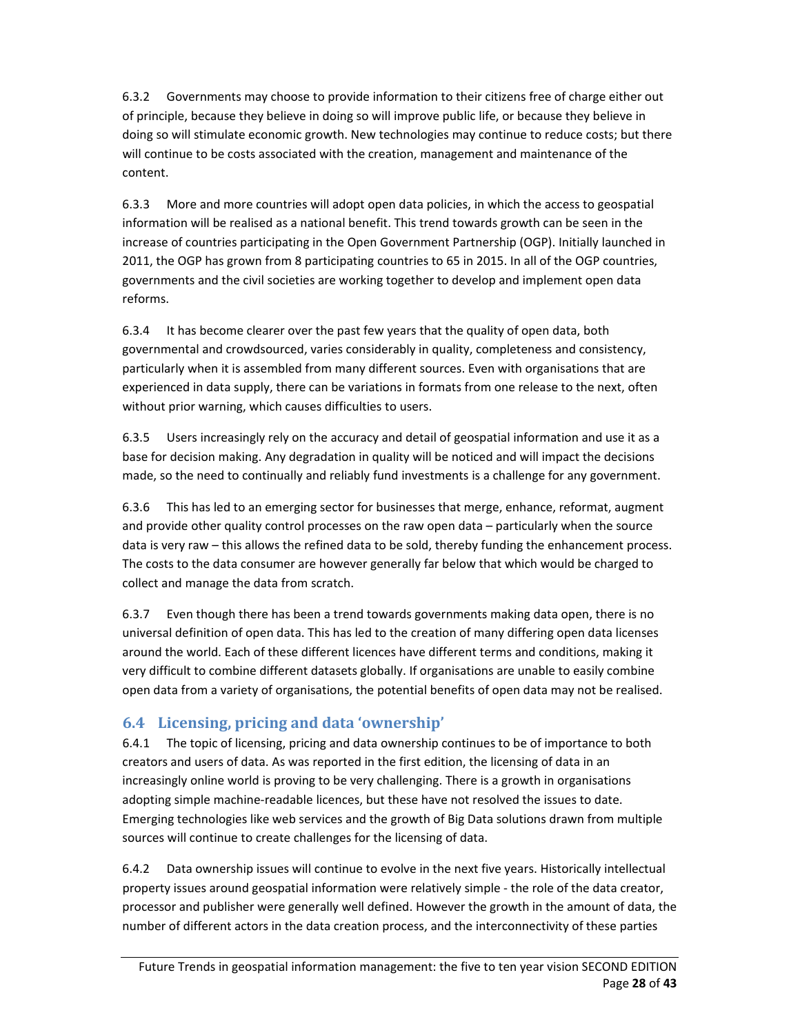6.3.2 Governments may choose to provide information to their citizens free of charge either out of principle, because they believe in doing so will improve public life, or because they believe in doing so will stimulate economic growth. New technologies may continue to reduce costs; but there will continue to be costs associated with the creation, management and maintenance of the content.

6.3.3 More and more countries will adopt open data policies, in which the access to geospatial information will be realised as a national benefit. This trend towards growth can be seen in the increase of countries participating in the Open Government Partnership (OGP). Initially launched in 2011, the OGP has grown from 8 participating countries to 65 in 2015. In all of the OGP countries, governments and the civil societies are working together to develop and implement open data reforms.

6.3.4 It has become clearer over the past few years that the quality of open data, both governmental and crowdsourced, varies considerably in quality, completeness and consistency, particularly when it is assembled from many different sources. Even with organisations that are experienced in data supply, there can be variations in formats from one release to the next, often without prior warning, which causes difficulties to users.

6.3.5 Users increasingly rely on the accuracy and detail of geospatial information and use it as a base for decision making. Any degradation in quality will be noticed and will impact the decisions made, so the need to continually and reliably fund investments is a challenge for any government.

6.3.6 This has led to an emerging sector for businesses that merge, enhance, reformat, augment and provide other quality control processes on the raw open data – particularly when the source data is very raw – this allows the refined data to be sold, thereby funding the enhancement process. The costs to the data consumer are however generally far below that which would be charged to collect and manage the data from scratch.

6.3.7 Even though there has been a trend towards governments making data open, there is no universal definition of open data. This has led to the creation of many differing open data licenses around the world. Each of these different licences have different terms and conditions, making it very difficult to combine different datasets globally. If organisations are unable to easily combine open data from a variety of organisations, the potential benefits of open data may not be realised.

## **6.4 Licensing, pricing and data 'ownership'**

6.4.1 The topic of licensing, pricing and data ownership continues to be of importance to both creators and users of data. As was reported in the first edition, the licensing of data in an increasingly online world is proving to be very challenging. There is a growth in organisations adopting simple machine‐readable licences, but these have not resolved the issues to date. Emerging technologies like web services and the growth of Big Data solutions drawn from multiple sources will continue to create challenges for the licensing of data.

6.4.2 Data ownership issues will continue to evolve in the next five years. Historically intellectual property issues around geospatial information were relatively simple ‐ the role of the data creator, processor and publisher were generally well defined. However the growth in the amount of data, the number of different actors in the data creation process, and the interconnectivity of these parties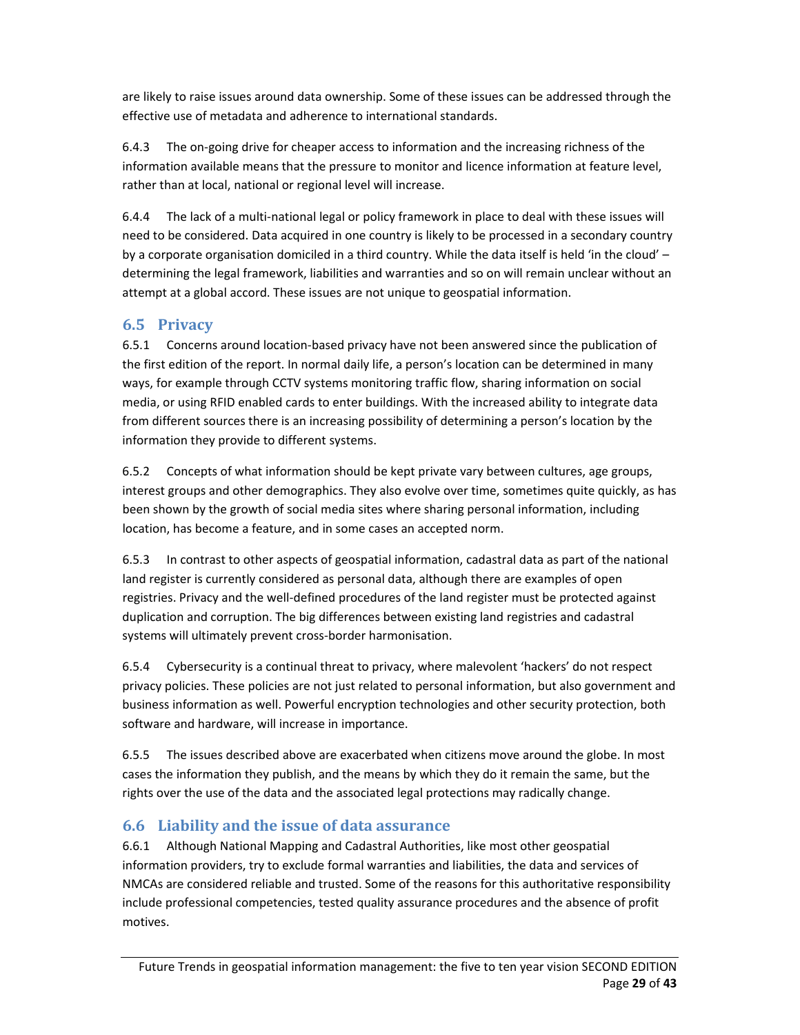are likely to raise issues around data ownership. Some of these issues can be addressed through the effective use of metadata and adherence to international standards.

6.4.3 The on‐going drive for cheaper access to information and the increasing richness of the information available means that the pressure to monitor and licence information at feature level, rather than at local, national or regional level will increase.

6.4.4 The lack of a multi‐national legal or policy framework in place to deal with these issues will need to be considered. Data acquired in one country is likely to be processed in a secondary country by a corporate organisation domiciled in a third country. While the data itself is held 'in the cloud' – determining the legal framework, liabilities and warranties and so on will remain unclear without an attempt at a global accord. These issues are not unique to geospatial information.

### **6.5 Privacy**

6.5.1 Concerns around location‐based privacy have not been answered since the publication of the first edition of the report. In normal daily life, a person's location can be determined in many ways, for example through CCTV systems monitoring traffic flow, sharing information on social media, or using RFID enabled cards to enter buildings. With the increased ability to integrate data from different sources there is an increasing possibility of determining a person's location by the information they provide to different systems.

6.5.2 Concepts of what information should be kept private vary between cultures, age groups, interest groups and other demographics. They also evolve over time, sometimes quite quickly, as has been shown by the growth of social media sites where sharing personal information, including location, has become a feature, and in some cases an accepted norm.

6.5.3 In contrast to other aspects of geospatial information, cadastral data as part of the national land register is currently considered as personal data, although there are examples of open registries. Privacy and the well‐defined procedures of the land register must be protected against duplication and corruption. The big differences between existing land registries and cadastral systems will ultimately prevent cross‐border harmonisation.

6.5.4 Cybersecurity is a continual threat to privacy, where malevolent 'hackers' do not respect privacy policies. These policies are not just related to personal information, but also government and business information as well. Powerful encryption technologies and other security protection, both software and hardware, will increase in importance.

6.5.5 The issues described above are exacerbated when citizens move around the globe. In most cases the information they publish, and the means by which they do it remain the same, but the rights over the use of the data and the associated legal protections may radically change.

## **6.6 Liability and the issue of data assurance**

6.6.1 Although National Mapping and Cadastral Authorities, like most other geospatial information providers, try to exclude formal warranties and liabilities, the data and services of NMCAs are considered reliable and trusted. Some of the reasons for this authoritative responsibility include professional competencies, tested quality assurance procedures and the absence of profit motives.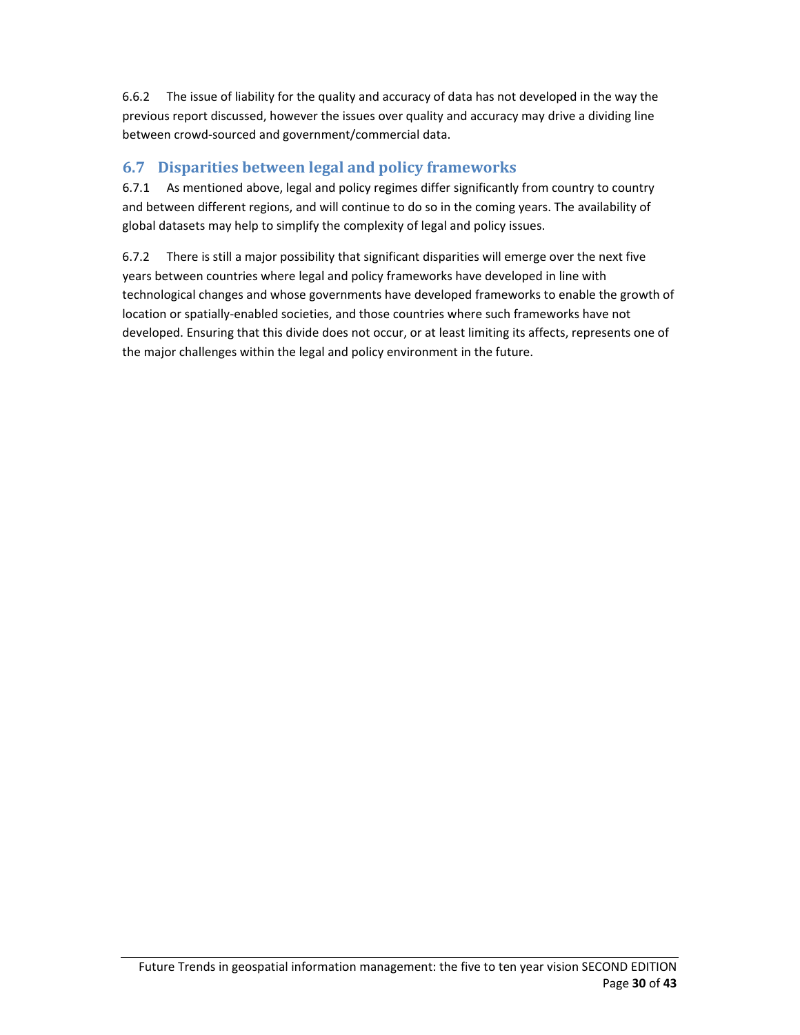6.6.2 The issue of liability for the quality and accuracy of data has not developed in the way the previous report discussed, however the issues over quality and accuracy may drive a dividing line between crowd‐sourced and government/commercial data.

### **6.7 Disparities between legal and policy frameworks**

6.7.1 As mentioned above, legal and policy regimes differ significantly from country to country and between different regions, and will continue to do so in the coming years. The availability of global datasets may help to simplify the complexity of legal and policy issues.

6.7.2 There is still a major possibility that significant disparities will emerge over the next five years between countries where legal and policy frameworks have developed in line with technological changes and whose governments have developed frameworks to enable the growth of location or spatially‐enabled societies, and those countries where such frameworks have not developed. Ensuring that this divide does not occur, or at least limiting its affects, represents one of the major challenges within the legal and policy environment in the future.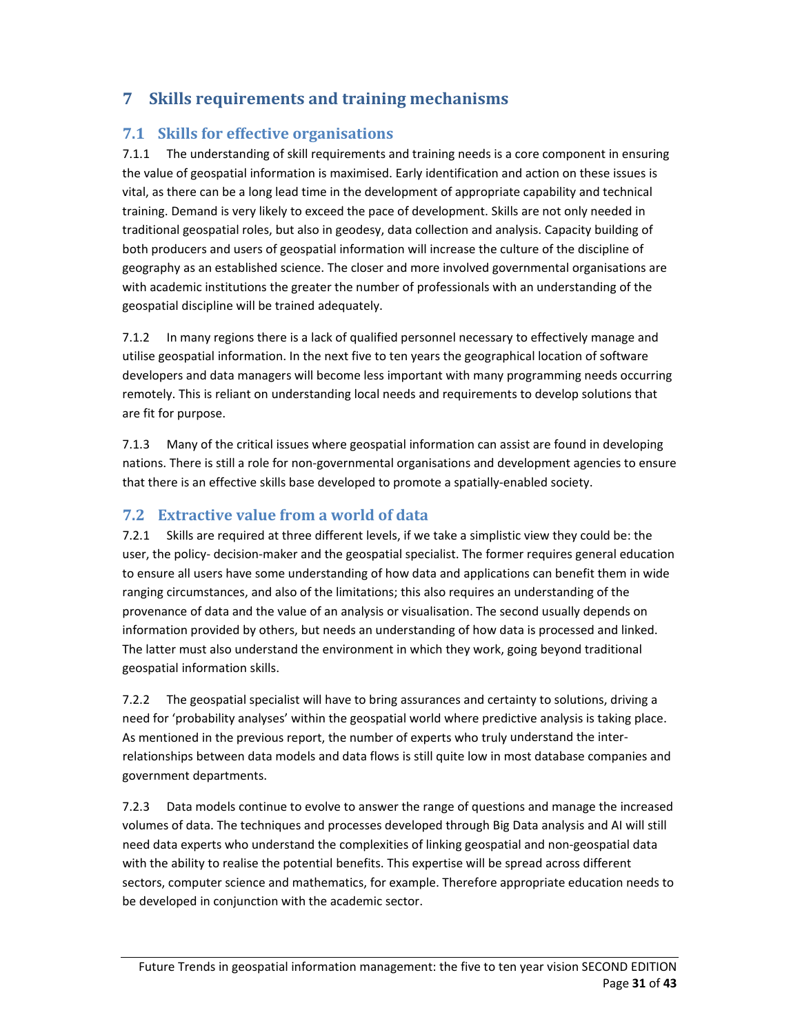## **7 Skills requirements and training mechanisms**

#### **7.1 Skills for effective organisations**

7.1.1 The understanding of skill requirements and training needs is a core component in ensuring the value of geospatial information is maximised. Early identification and action on these issues is vital, as there can be a long lead time in the development of appropriate capability and technical training. Demand is very likely to exceed the pace of development. Skills are not only needed in traditional geospatial roles, but also in geodesy, data collection and analysis. Capacity building of both producers and users of geospatial information will increase the culture of the discipline of geography as an established science. The closer and more involved governmental organisations are with academic institutions the greater the number of professionals with an understanding of the geospatial discipline will be trained adequately.

7.1.2 In many regions there is a lack of qualified personnel necessary to effectively manage and utilise geospatial information. In the next five to ten years the geographical location of software developers and data managers will become less important with many programming needs occurring remotely. This is reliant on understanding local needs and requirements to develop solutions that are fit for purpose.

7.1.3 Many of the critical issues where geospatial information can assist are found in developing nations. There is still a role for non‐governmental organisations and development agencies to ensure that there is an effective skills base developed to promote a spatially‐enabled society.

#### **7.2 Extractive value from a world of data**

7.2.1 Skills are required at three different levels, if we take a simplistic view they could be: the user, the policy-decision-maker and the geospatial specialist. The former requires general education to ensure all users have some understanding of how data and applications can benefit them in wide ranging circumstances, and also of the limitations; this also requires an understanding of the provenance of data and the value of an analysis or visualisation. The second usually depends on information provided by others, but needs an understanding of how data is processed and linked. The latter must also understand the environment in which they work, going beyond traditional geospatial information skills.

7.2.2 The geospatial specialist will have to bring assurances and certainty to solutions, driving a need for 'probability analyses' within the geospatial world where predictive analysis is taking place. As mentioned in the previous report, the number of experts who truly understand the inter‐ relationships between data models and data flows is still quite low in most database companies and government departments.

7.2.3 Data models continue to evolve to answer the range of questions and manage the increased volumes of data. The techniques and processes developed through Big Data analysis and AI will still need data experts who understand the complexities of linking geospatial and non‐geospatial data with the ability to realise the potential benefits. This expertise will be spread across different sectors, computer science and mathematics, for example. Therefore appropriate education needs to be developed in conjunction with the academic sector.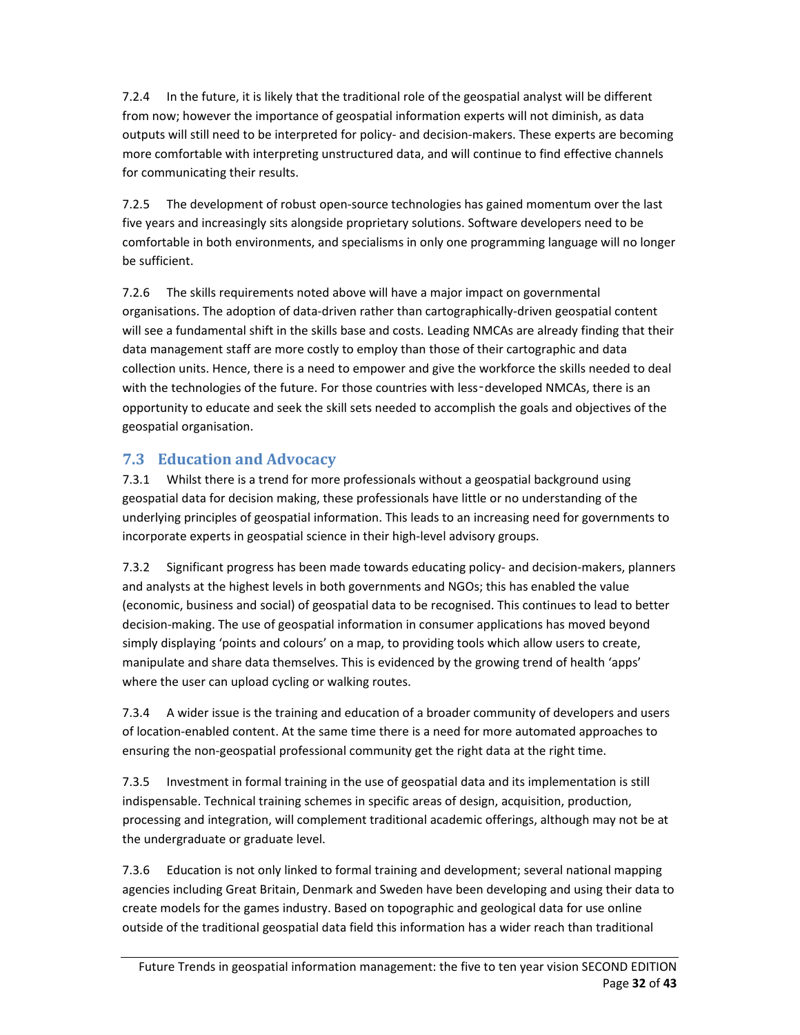7.2.4 In the future, it is likely that the traditional role of the geospatial analyst will be different from now; however the importance of geospatial information experts will not diminish, as data outputs will still need to be interpreted for policy‐ and decision‐makers. These experts are becoming more comfortable with interpreting unstructured data, and will continue to find effective channels for communicating their results.

7.2.5 The development of robust open‐source technologies has gained momentum over the last five years and increasingly sits alongside proprietary solutions. Software developers need to be comfortable in both environments, and specialisms in only one programming language will no longer be sufficient.

7.2.6 The skills requirements noted above will have a major impact on governmental organisations. The adoption of data‐driven rather than cartographically‐driven geospatial content will see a fundamental shift in the skills base and costs. Leading NMCAs are already finding that their data management staff are more costly to employ than those of their cartographic and data collection units. Hence, there is a need to empower and give the workforce the skills needed to deal with the technologies of the future. For those countries with less-developed NMCAs, there is an opportunity to educate and seek the skill sets needed to accomplish the goals and objectives of the geospatial organisation.

#### **7.3 Education and Advocacy**

7.3.1 Whilst there is a trend for more professionals without a geospatial background using geospatial data for decision making, these professionals have little or no understanding of the underlying principles of geospatial information. This leads to an increasing need for governments to incorporate experts in geospatial science in their high‐level advisory groups.

7.3.2 Significant progress has been made towards educating policy- and decision-makers, planners and analysts at the highest levels in both governments and NGOs; this has enabled the value (economic, business and social) of geospatial data to be recognised. This continues to lead to better decision‐making. The use of geospatial information in consumer applications has moved beyond simply displaying 'points and colours' on a map, to providing tools which allow users to create, manipulate and share data themselves. This is evidenced by the growing trend of health 'apps' where the user can upload cycling or walking routes.

7.3.4 A wider issue is the training and education of a broader community of developers and users of location‐enabled content. At the same time there is a need for more automated approaches to ensuring the non‐geospatial professional community get the right data at the right time.

7.3.5 Investment in formal training in the use of geospatial data and its implementation is still indispensable. Technical training schemes in specific areas of design, acquisition, production, processing and integration, will complement traditional academic offerings, although may not be at the undergraduate or graduate level.

7.3.6 Education is not only linked to formal training and development; several national mapping agencies including Great Britain, Denmark and Sweden have been developing and using their data to create models for the games industry. Based on topographic and geological data for use online outside of the traditional geospatial data field this information has a wider reach than traditional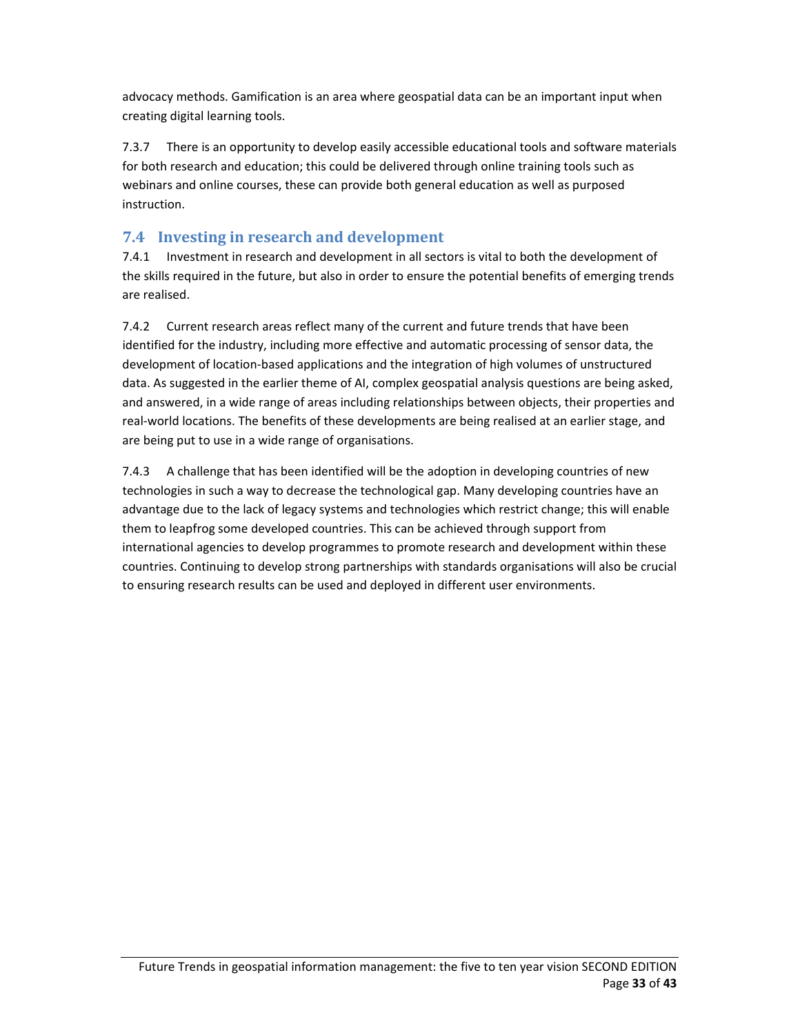advocacy methods. Gamification is an area where geospatial data can be an important input when creating digital learning tools.

7.3.7 There is an opportunity to develop easily accessible educational tools and software materials for both research and education; this could be delivered through online training tools such as webinars and online courses, these can provide both general education as well as purposed instruction.

## **7.4 Investing in research and development**

7.4.1 Investment in research and development in all sectors is vital to both the development of the skills required in the future, but also in order to ensure the potential benefits of emerging trends are realised.

7.4.2 Current research areas reflect many of the current and future trends that have been identified for the industry, including more effective and automatic processing of sensor data, the development of location‐based applications and the integration of high volumes of unstructured data. As suggested in the earlier theme of AI, complex geospatial analysis questions are being asked, and answered, in a wide range of areas including relationships between objects, their properties and real‐world locations. The benefits of these developments are being realised at an earlier stage, and are being put to use in a wide range of organisations.

7.4.3 A challenge that has been identified will be the adoption in developing countries of new technologies in such a way to decrease the technological gap. Many developing countries have an advantage due to the lack of legacy systems and technologies which restrict change; this will enable them to leapfrog some developed countries. This can be achieved through support from international agencies to develop programmes to promote research and development within these countries. Continuing to develop strong partnerships with standards organisations will also be crucial to ensuring research results can be used and deployed in different user environments.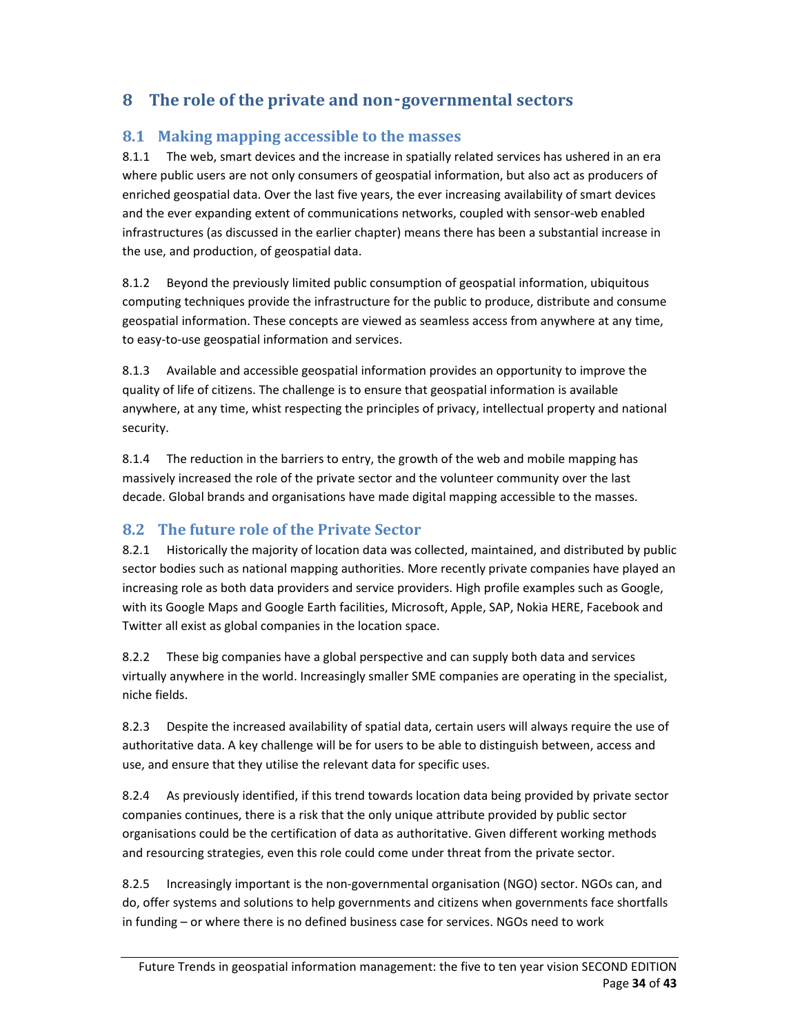## **8 The role of the private and non**‑**governmental sectors**

#### **8.1 Making mapping accessible to the masses**

8.1.1 The web, smart devices and the increase in spatially related services has ushered in an era where public users are not only consumers of geospatial information, but also act as producers of enriched geospatial data. Over the last five years, the ever increasing availability of smart devices and the ever expanding extent of communications networks, coupled with sensor-web enabled infrastructures (as discussed in the earlier chapter) means there has been a substantial increase in the use, and production, of geospatial data.

8.1.2 Beyond the previously limited public consumption of geospatial information, ubiquitous computing techniques provide the infrastructure for the public to produce, distribute and consume geospatial information. These concepts are viewed as seamless access from anywhere at any time, to easy‐to‐use geospatial information and services.

8.1.3 Available and accessible geospatial information provides an opportunity to improve the quality of life of citizens. The challenge is to ensure that geospatial information is available anywhere, at any time, whist respecting the principles of privacy, intellectual property and national security.

8.1.4 The reduction in the barriers to entry, the growth of the web and mobile mapping has massively increased the role of the private sector and the volunteer community over the last decade. Global brands and organisations have made digital mapping accessible to the masses.

#### **8.2 The future role of the Private Sector**

8.2.1 Historically the majority of location data was collected, maintained, and distributed by public sector bodies such as national mapping authorities. More recently private companies have played an increasing role as both data providers and service providers. High profile examples such as Google, with its Google Maps and Google Earth facilities, Microsoft, Apple, SAP, Nokia HERE, Facebook and Twitter all exist as global companies in the location space.

8.2.2 These big companies have a global perspective and can supply both data and services virtually anywhere in the world. Increasingly smaller SME companies are operating in the specialist, niche fields.

8.2.3 Despite the increased availability of spatial data, certain users will always require the use of authoritative data. A key challenge will be for users to be able to distinguish between, access and use, and ensure that they utilise the relevant data for specific uses.

8.2.4 As previously identified, if this trend towards location data being provided by private sector companies continues, there is a risk that the only unique attribute provided by public sector organisations could be the certification of data as authoritative. Given different working methods and resourcing strategies, even this role could come under threat from the private sector.

8.2.5 Increasingly important is the non‐governmental organisation (NGO) sector. NGOs can, and do, offer systems and solutions to help governments and citizens when governments face shortfalls in funding – or where there is no defined business case for services. NGOs need to work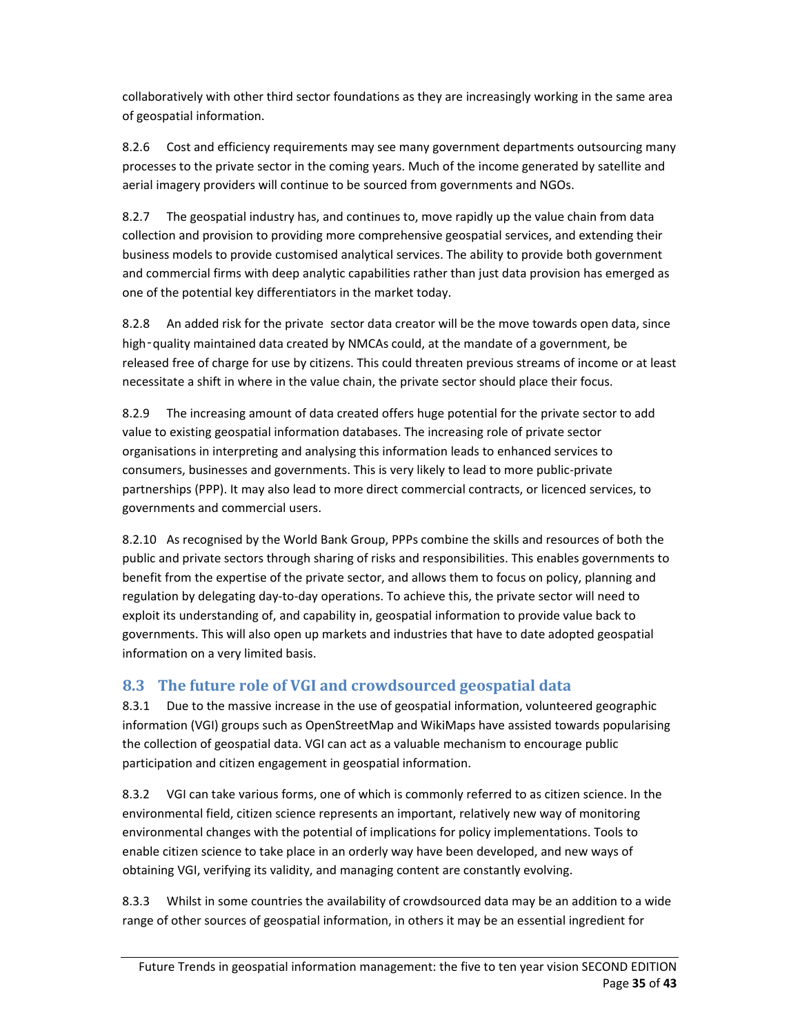collaboratively with other third sector foundations as they are increasingly working in the same area of geospatial information.

8.2.6 Cost and efficiency requirements may see many government departments outsourcing many processes to the private sector in the coming years. Much of the income generated by satellite and aerial imagery providers will continue to be sourced from governments and NGOs.

8.2.7 The geospatial industry has, and continues to, move rapidly up the value chain from data collection and provision to providing more comprehensive geospatial services, and extending their business models to provide customised analytical services. The ability to provide both government and commercial firms with deep analytic capabilities rather than just data provision has emerged as one of the potential key differentiators in the market today.

8.2.8 An added risk for the private sector data creator will be the move towards open data, since high-quality maintained data created by NMCAs could, at the mandate of a government, be released free of charge for use by citizens. This could threaten previous streams of income or at least necessitate a shift in where in the value chain, the private sector should place their focus.

8.2.9 The increasing amount of data created offers huge potential for the private sector to add value to existing geospatial information databases. The increasing role of private sector organisations in interpreting and analysing this information leads to enhanced services to consumers, businesses and governments. This is very likely to lead to more public‐private partnerships (PPP). It may also lead to more direct commercial contracts, or licenced services, to governments and commercial users.

8.2.10 As recognised by the World Bank Group, PPPs combine the skills and resources of both the public and private sectors through sharing of risks and responsibilities. This enables governments to benefit from the expertise of the private sector, and allows them to focus on policy, planning and regulation by delegating day‐to‐day operations. To achieve this, the private sector will need to exploit its understanding of, and capability in, geospatial information to provide value back to governments. This will also open up markets and industries that have to date adopted geospatial information on a very limited basis.

## **8.3 The future role of VGI and crowdsourced geospatial data**

8.3.1 Due to the massive increase in the use of geospatial information, volunteered geographic information (VGI) groups such as OpenStreetMap and WikiMaps have assisted towards popularising the collection of geospatial data. VGI can act as a valuable mechanism to encourage public participation and citizen engagement in geospatial information.

8.3.2 VGI can take various forms, one of which is commonly referred to as citizen science. In the environmental field, citizen science represents an important, relatively new way of monitoring environmental changes with the potential of implications for policy implementations. Tools to enable citizen science to take place in an orderly way have been developed, and new ways of obtaining VGI, verifying its validity, and managing content are constantly evolving.

8.3.3 Whilst in some countries the availability of crowdsourced data may be an addition to a wide range of other sources of geospatial information, in others it may be an essential ingredient for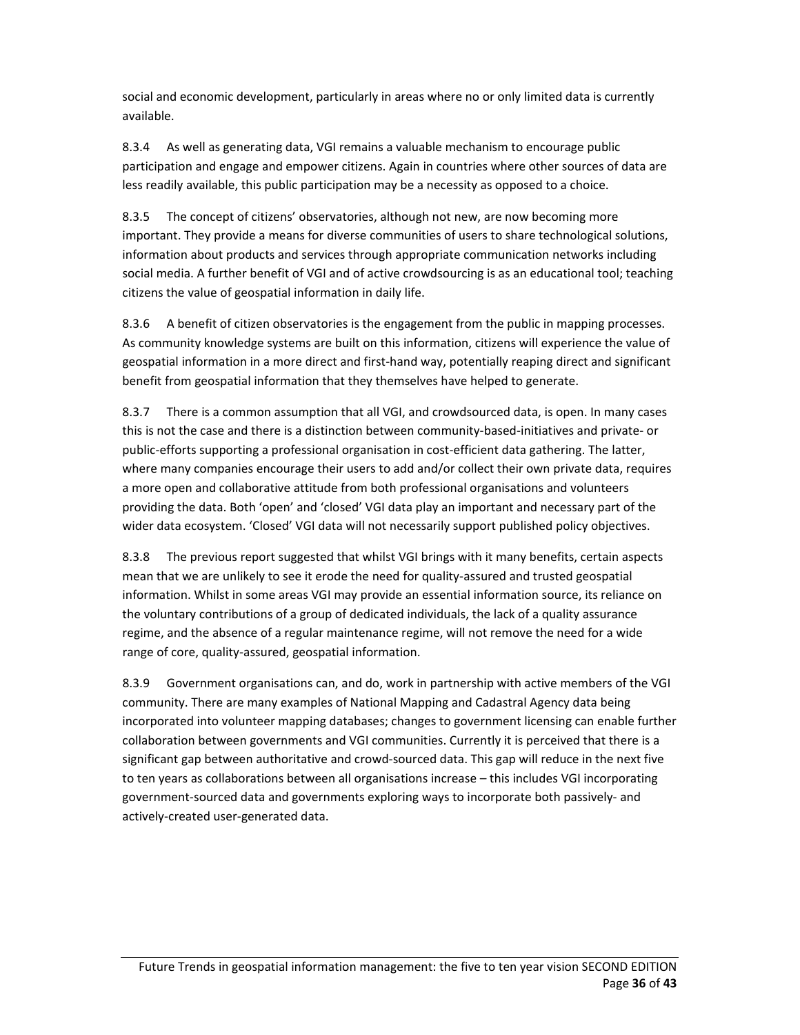social and economic development, particularly in areas where no or only limited data is currently available.

8.3.4 As well as generating data, VGI remains a valuable mechanism to encourage public participation and engage and empower citizens. Again in countries where other sources of data are less readily available, this public participation may be a necessity as opposed to a choice.

8.3.5 The concept of citizens' observatories, although not new, are now becoming more important. They provide a means for diverse communities of users to share technological solutions, information about products and services through appropriate communication networks including social media. A further benefit of VGI and of active crowdsourcing is as an educational tool; teaching citizens the value of geospatial information in daily life.

8.3.6 A benefit of citizen observatories is the engagement from the public in mapping processes. As community knowledge systems are built on this information, citizens will experience the value of geospatial information in a more direct and first‐hand way, potentially reaping direct and significant benefit from geospatial information that they themselves have helped to generate.

8.3.7 There is a common assumption that all VGI, and crowdsourced data, is open. In many cases this is not the case and there is a distinction between community‐based‐initiatives and private‐ or public-efforts supporting a professional organisation in cost-efficient data gathering. The latter, where many companies encourage their users to add and/or collect their own private data, requires a more open and collaborative attitude from both professional organisations and volunteers providing the data. Both 'open' and 'closed' VGI data play an important and necessary part of the wider data ecosystem. 'Closed' VGI data will not necessarily support published policy objectives.

8.3.8 The previous report suggested that whilst VGI brings with it many benefits, certain aspects mean that we are unlikely to see it erode the need for quality‐assured and trusted geospatial information. Whilst in some areas VGI may provide an essential information source, its reliance on the voluntary contributions of a group of dedicated individuals, the lack of a quality assurance regime, and the absence of a regular maintenance regime, will not remove the need for a wide range of core, quality‐assured, geospatial information.

8.3.9 Government organisations can, and do, work in partnership with active members of the VGI community. There are many examples of National Mapping and Cadastral Agency data being incorporated into volunteer mapping databases; changes to government licensing can enable further collaboration between governments and VGI communities. Currently it is perceived that there is a significant gap between authoritative and crowd-sourced data. This gap will reduce in the next five to ten years as collaborations between all organisations increase – this includes VGI incorporating government‐sourced data and governments exploring ways to incorporate both passively‐ and actively‐created user‐generated data.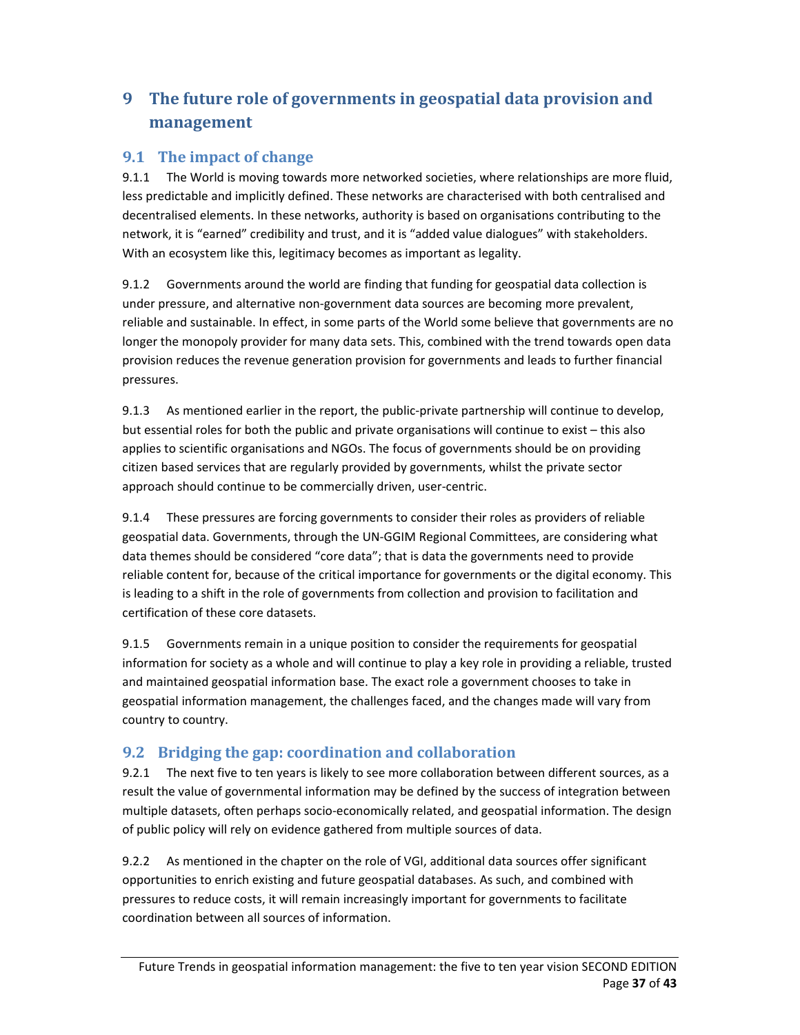# **9 The future role of governments in geospatial data provision and management**

#### **9.1 The impact of change**

9.1.1 The World is moving towards more networked societies, where relationships are more fluid, less predictable and implicitly defined. These networks are characterised with both centralised and decentralised elements. In these networks, authority is based on organisations contributing to the network, it is "earned" credibility and trust, and it is "added value dialogues" with stakeholders. With an ecosystem like this, legitimacy becomes as important as legality.

9.1.2 Governments around the world are finding that funding for geospatial data collection is under pressure, and alternative non‐government data sources are becoming more prevalent, reliable and sustainable. In effect, in some parts of the World some believe that governments are no longer the monopoly provider for many data sets. This, combined with the trend towards open data provision reduces the revenue generation provision for governments and leads to further financial pressures.

9.1.3 As mentioned earlier in the report, the public-private partnership will continue to develop, but essential roles for both the public and private organisations will continue to exist – this also applies to scientific organisations and NGOs. The focus of governments should be on providing citizen based services that are regularly provided by governments, whilst the private sector approach should continue to be commercially driven, user‐centric.

9.1.4 These pressures are forcing governments to consider their roles as providers of reliable geospatial data. Governments, through the UN‐GGIM Regional Committees, are considering what data themes should be considered "core data"; that is data the governments need to provide reliable content for, because of the critical importance for governments or the digital economy. This is leading to a shift in the role of governments from collection and provision to facilitation and certification of these core datasets.

9.1.5 Governments remain in a unique position to consider the requirements for geospatial information for society as a whole and will continue to play a key role in providing a reliable, trusted and maintained geospatial information base. The exact role a government chooses to take in geospatial information management, the challenges faced, and the changes made will vary from country to country.

#### **9.2 Bridging the gap: coordination and collaboration**

9.2.1 The next five to ten years is likely to see more collaboration between different sources, as a result the value of governmental information may be defined by the success of integration between multiple datasets, often perhaps socio‐economically related, and geospatial information. The design of public policy will rely on evidence gathered from multiple sources of data.

9.2.2 As mentioned in the chapter on the role of VGI, additional data sources offer significant opportunities to enrich existing and future geospatial databases. As such, and combined with pressures to reduce costs, it will remain increasingly important for governments to facilitate coordination between all sources of information.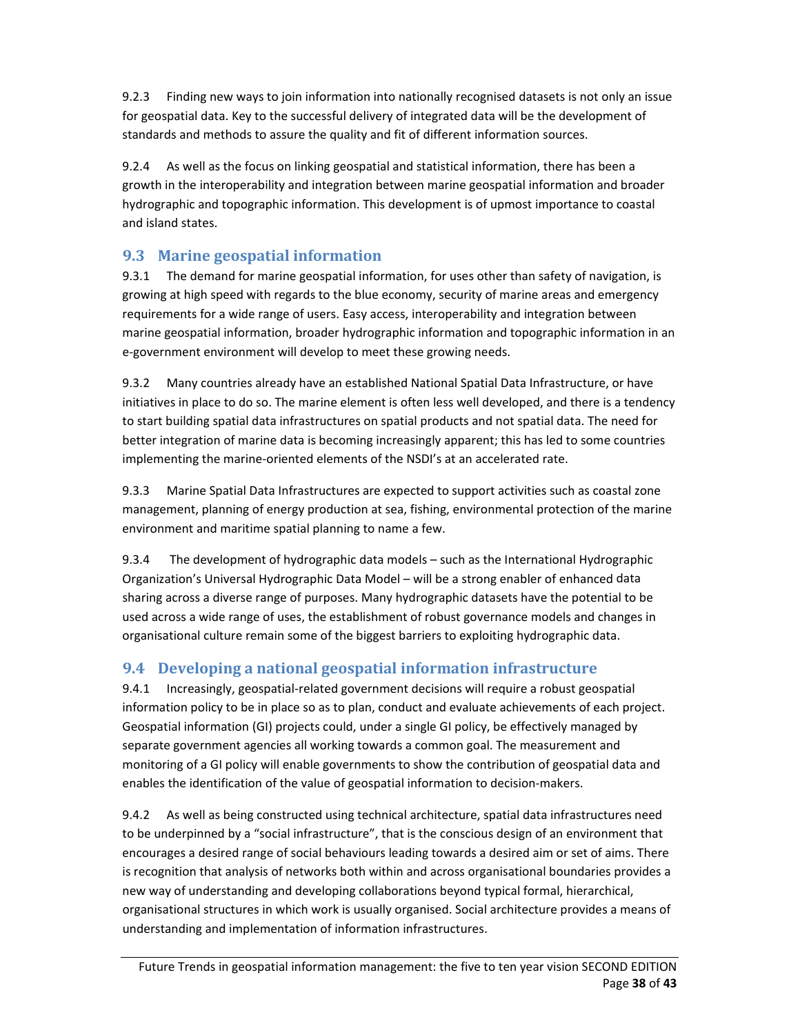9.2.3 Finding new ways to join information into nationally recognised datasets is not only an issue for geospatial data. Key to the successful delivery of integrated data will be the development of standards and methods to assure the quality and fit of different information sources.

9.2.4 As well as the focus on linking geospatial and statistical information, there has been a growth in the interoperability and integration between marine geospatial information and broader hydrographic and topographic information. This development is of upmost importance to coastal and island states.

#### **9.3 Marine geospatial information**

9.3.1 The demand for marine geospatial information, for uses other than safety of navigation, is growing at high speed with regards to the blue economy, security of marine areas and emergency requirements for a wide range of users. Easy access, interoperability and integration between marine geospatial information, broader hydrographic information and topographic information in an e‐government environment will develop to meet these growing needs.

9.3.2 Many countries already have an established National Spatial Data Infrastructure, or have initiatives in place to do so. The marine element is often less well developed, and there is a tendency to start building spatial data infrastructures on spatial products and not spatial data. The need for better integration of marine data is becoming increasingly apparent; this has led to some countries implementing the marine‐oriented elements of the NSDI's at an accelerated rate.

9.3.3 Marine Spatial Data Infrastructures are expected to support activities such as coastal zone management, planning of energy production at sea, fishing, environmental protection of the marine environment and maritime spatial planning to name a few.

9.3.4 The development of hydrographic data models – such as the International Hydrographic Organization's Universal Hydrographic Data Model – will be a strong enabler of enhanced data sharing across a diverse range of purposes. Many hydrographic datasets have the potential to be used across a wide range of uses, the establishment of robust governance models and changes in organisational culture remain some of the biggest barriers to exploiting hydrographic data.

## **9.4 Developing a national geospatial information infrastructure**

9.4.1 Increasingly, geospatial-related government decisions will require a robust geospatial information policy to be in place so as to plan, conduct and evaluate achievements of each project. Geospatial information (GI) projects could, under a single GI policy, be effectively managed by separate government agencies all working towards a common goal. The measurement and monitoring of a GI policy will enable governments to show the contribution of geospatial data and enables the identification of the value of geospatial information to decision‐makers.

9.4.2 As well as being constructed using technical architecture, spatial data infrastructures need to be underpinned by a "social infrastructure", that is the conscious design of an environment that encourages a desired range of social behaviours leading towards a desired aim or set of aims. There is recognition that analysis of networks both within and across organisational boundaries provides a new way of understanding and developing collaborations beyond typical formal, hierarchical, organisational structures in which work is usually organised. Social architecture provides a means of understanding and implementation of information infrastructures.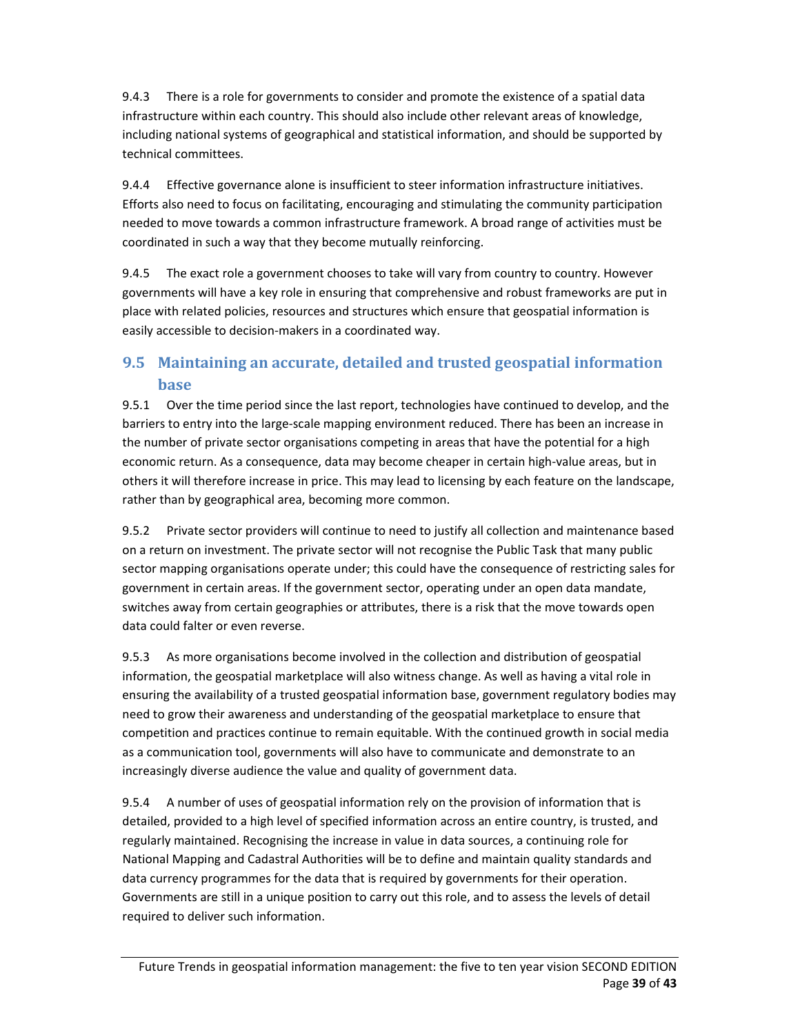9.4.3 There is a role for governments to consider and promote the existence of a spatial data infrastructure within each country. This should also include other relevant areas of knowledge, including national systems of geographical and statistical information, and should be supported by technical committees.

9.4.4 Effective governance alone is insufficient to steer information infrastructure initiatives. Efforts also need to focus on facilitating, encouraging and stimulating the community participation needed to move towards a common infrastructure framework. A broad range of activities must be coordinated in such a way that they become mutually reinforcing.

9.4.5 The exact role a government chooses to take will vary from country to country. However governments will have a key role in ensuring that comprehensive and robust frameworks are put in place with related policies, resources and structures which ensure that geospatial information is easily accessible to decision‐makers in a coordinated way.

## **9.5 Maintaining an accurate, detailed and trusted geospatial information base**

9.5.1 Over the time period since the last report, technologies have continued to develop, and the barriers to entry into the large‐scale mapping environment reduced. There has been an increase in the number of private sector organisations competing in areas that have the potential for a high economic return. As a consequence, data may become cheaper in certain high‐value areas, but in others it will therefore increase in price. This may lead to licensing by each feature on the landscape, rather than by geographical area, becoming more common.

9.5.2 Private sector providers will continue to need to justify all collection and maintenance based on a return on investment. The private sector will not recognise the Public Task that many public sector mapping organisations operate under; this could have the consequence of restricting sales for government in certain areas. If the government sector, operating under an open data mandate, switches away from certain geographies or attributes, there is a risk that the move towards open data could falter or even reverse.

9.5.3 As more organisations become involved in the collection and distribution of geospatial information, the geospatial marketplace will also witness change. As well as having a vital role in ensuring the availability of a trusted geospatial information base, government regulatory bodies may need to grow their awareness and understanding of the geospatial marketplace to ensure that competition and practices continue to remain equitable. With the continued growth in social media as a communication tool, governments will also have to communicate and demonstrate to an increasingly diverse audience the value and quality of government data.

9.5.4 A number of uses of geospatial information rely on the provision of information that is detailed, provided to a high level of specified information across an entire country, is trusted, and regularly maintained. Recognising the increase in value in data sources, a continuing role for National Mapping and Cadastral Authorities will be to define and maintain quality standards and data currency programmes for the data that is required by governments for their operation. Governments are still in a unique position to carry out this role, and to assess the levels of detail required to deliver such information.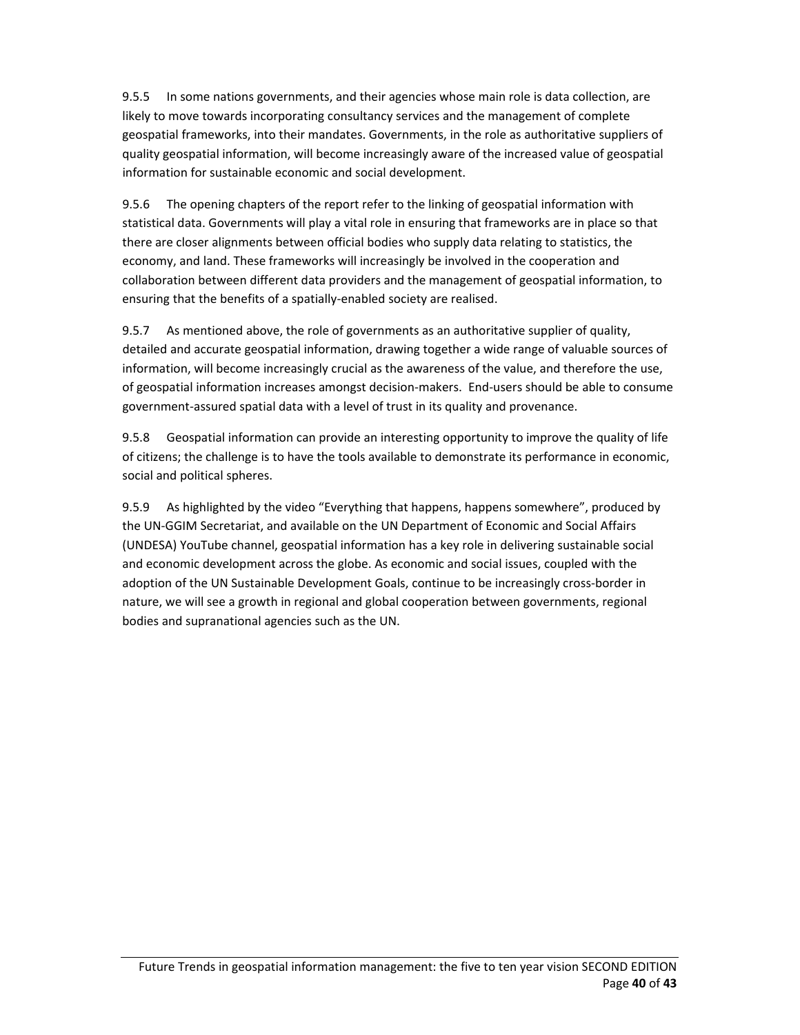9.5.5 In some nations governments, and their agencies whose main role is data collection, are likely to move towards incorporating consultancy services and the management of complete geospatial frameworks, into their mandates. Governments, in the role as authoritative suppliers of quality geospatial information, will become increasingly aware of the increased value of geospatial information for sustainable economic and social development.

9.5.6 The opening chapters of the report refer to the linking of geospatial information with statistical data. Governments will play a vital role in ensuring that frameworks are in place so that there are closer alignments between official bodies who supply data relating to statistics, the economy, and land. These frameworks will increasingly be involved in the cooperation and collaboration between different data providers and the management of geospatial information, to ensuring that the benefits of a spatially‐enabled society are realised.

9.5.7 As mentioned above, the role of governments as an authoritative supplier of quality, detailed and accurate geospatial information, drawing together a wide range of valuable sources of information, will become increasingly crucial as the awareness of the value, and therefore the use, of geospatial information increases amongst decision‐makers. End‐users should be able to consume government‐assured spatial data with a level of trust in its quality and provenance.

9.5.8 Geospatial information can provide an interesting opportunity to improve the quality of life of citizens; the challenge is to have the tools available to demonstrate its performance in economic, social and political spheres.

9.5.9 As highlighted by the video "Everything that happens, happens somewhere", produced by the UN‐GGIM Secretariat, and available on the UN Department of Economic and Social Affairs (UNDESA) YouTube channel, geospatial information has a key role in delivering sustainable social and economic development across the globe. As economic and social issues, coupled with the adoption of the UN Sustainable Development Goals, continue to be increasingly cross‐border in nature, we will see a growth in regional and global cooperation between governments, regional bodies and supranational agencies such as the UN.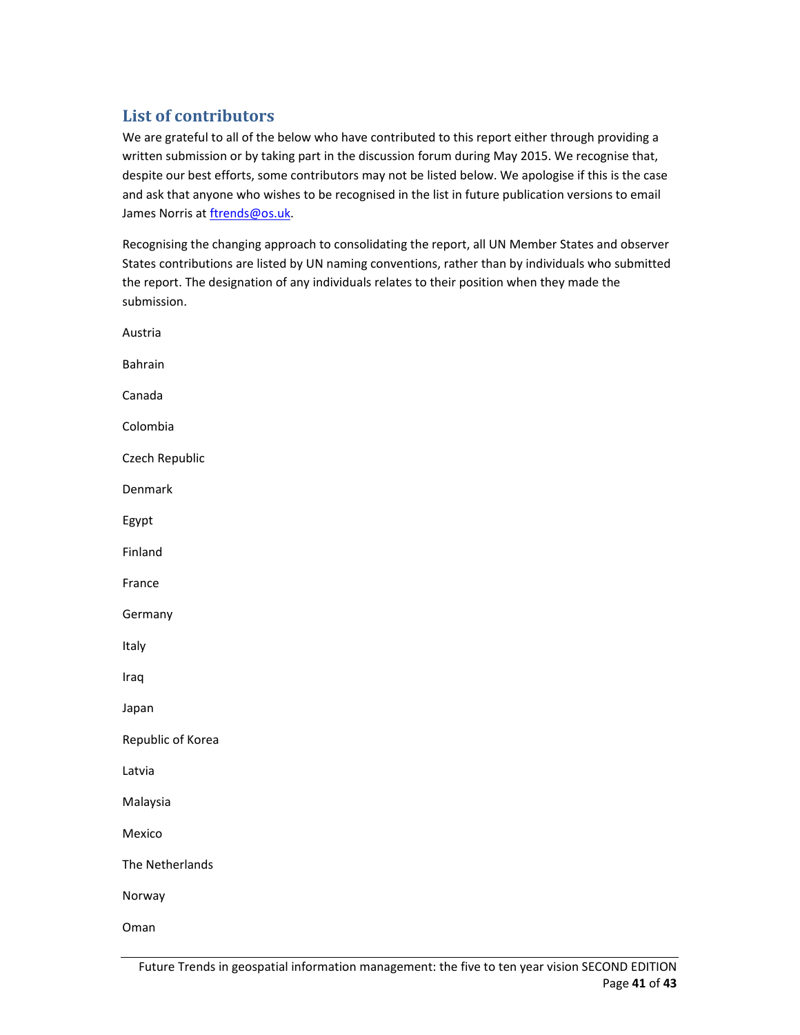## **List of contributors**

We are grateful to all of the below who have contributed to this report either through providing a written submission or by taking part in the discussion forum during May 2015. We recognise that, despite our best efforts, some contributors may not be listed below. We apologise if this is the case and ask that anyone who wishes to be recognised in the list in future publication versions to email James Norris at ftrends@os.uk.

Recognising the changing approach to consolidating the report, all UN Member States and observer States contributions are listed by UN naming conventions, rather than by individuals who submitted the report. The designation of any individuals relates to their position when they made the submission.

| Austria           |  |
|-------------------|--|
| Bahrain           |  |
| Canada            |  |
| Colombia          |  |
| Czech Republic    |  |
| Denmark           |  |
| Egypt             |  |
| Finland           |  |
| France            |  |
| Germany           |  |
| Italy             |  |
| Iraq              |  |
| Japan             |  |
| Republic of Korea |  |
| Latvia            |  |
| Malaysia          |  |
| Mexico            |  |
| The Netherlands   |  |
| Norway            |  |
| Oman              |  |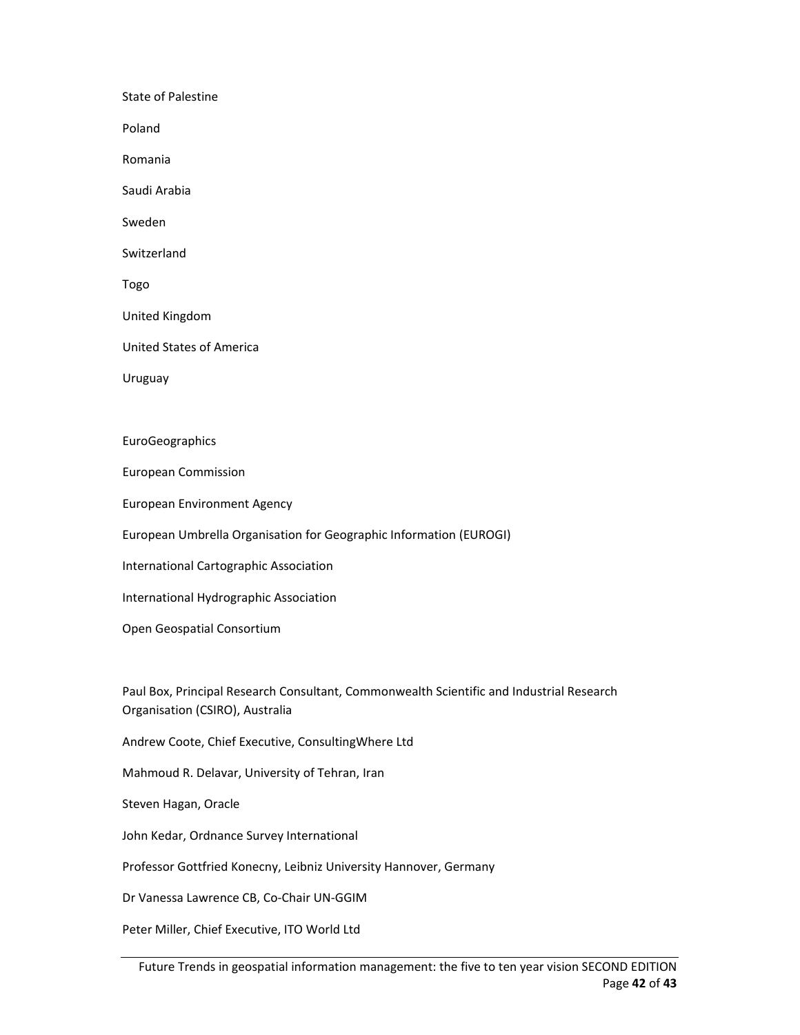State of Palestine Poland Romania Saudi Arabia Sweden **Switzerland** Togo United Kingdom United States of America Uruguay EuroGeographics European Commission European Environment Agency European Umbrella Organisation for Geographic Information (EUROGI) International Cartographic Association

International Hydrographic Association

Open Geospatial Consortium

Paul Box, Principal Research Consultant, Commonwealth Scientific and Industrial Research Organisation (CSIRO), Australia

Andrew Coote, Chief Executive, ConsultingWhere Ltd

Mahmoud R. Delavar, University of Tehran, Iran

Steven Hagan, Oracle

John Kedar, Ordnance Survey International

Professor Gottfried Konecny, Leibniz University Hannover, Germany

Dr Vanessa Lawrence CB, Co‐Chair UN‐GGIM

Peter Miller, Chief Executive, ITO World Ltd